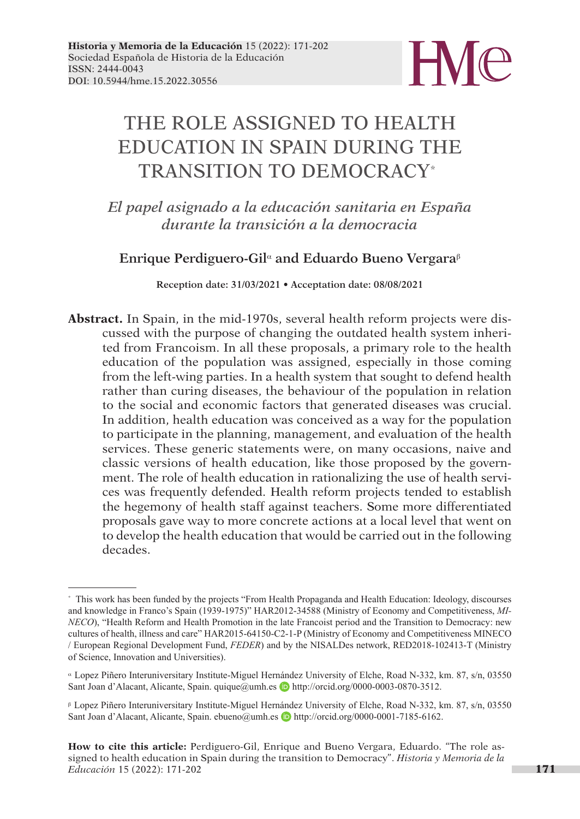

# THE ROLE ASSIGNED TO HEALTH EDUCATION IN SPAIN DURING THE TRANSITION TO DEMOCRACY\*

*El papel asignado a la educación sanitaria en España durante la transición a la democracia*

# **Enrique Perdiguero-Gil**a **and Eduardo Bueno Vergara**<sup>b</sup>

**Reception date: 31/03/2021 • Acceptation date: 08/08/2021**

**Abstract.** In Spain, in the mid-1970s, several health reform projects were discussed with the purpose of changing the outdated health system inherited from Francoism. In all these proposals, a primary role to the health education of the population was assigned, especially in those coming from the left-wing parties. In a health system that sought to defend health rather than curing diseases, the behaviour of the population in relation to the social and economic factors that generated diseases was crucial. In addition, health education was conceived as a way for the population to participate in the planning, management, and evaluation of the health services. These generic statements were, on many occasions, naive and classic versions of health education, like those proposed by the government. The role of health education in rationalizing the use of health services was frequently defended. Health reform projects tended to establish the hegemony of health staff against teachers. Some more differentiated proposals gave way to more concrete actions at a local level that went on to develop the health education that would be carried out in the following decades.

<sup>\*</sup> This work has been funded by the projects "From Health Propaganda and Health Education: Ideology, discourses and knowledge in Franco's Spain (1939-1975)" HAR2012-34588 (Ministry of Economy and Competitiveness, *MI-NECO*), "Health Reform and Health Promotion in the late Francoist period and the Transition to Democracy: new cultures of health, illness and care" HAR2015-64150-C2-1-P (Ministry of Economy and Competitiveness MINECO / European Regional Development Fund, *FEDER*) and by the NISALDes network, RED2018-102413-T (Ministry of Science, Innovation and Universities).

<sup>a</sup> Lopez Piñero Interuniversitary Institute-Miguel Hernández University of Elche, Road N-332, km. 87, s/n, 03550 Sant Joan d'Alacant, Alicante, Spain. quique@umh.es b http://orcid.org/0000-0003-0870-3512.

<sup>b</sup> Lopez Piñero Interuniversitary Institute-Miguel Hernández University of Elche, Road N-332, km. 87, s/n, 03550 Sant Joan d'Alacant, Alicante, Spain. ebueno@umh.es **D**http://orcid.org/0000-0001-7185-6162.

**How to cite this article:** Perdiguero-Gil, Enrique and Bueno Vergara, Eduardo. "The role as signed to health education in Spain during the transition to Democracy". *Historia y Memoria de la Educación* 15 (2022): 171-202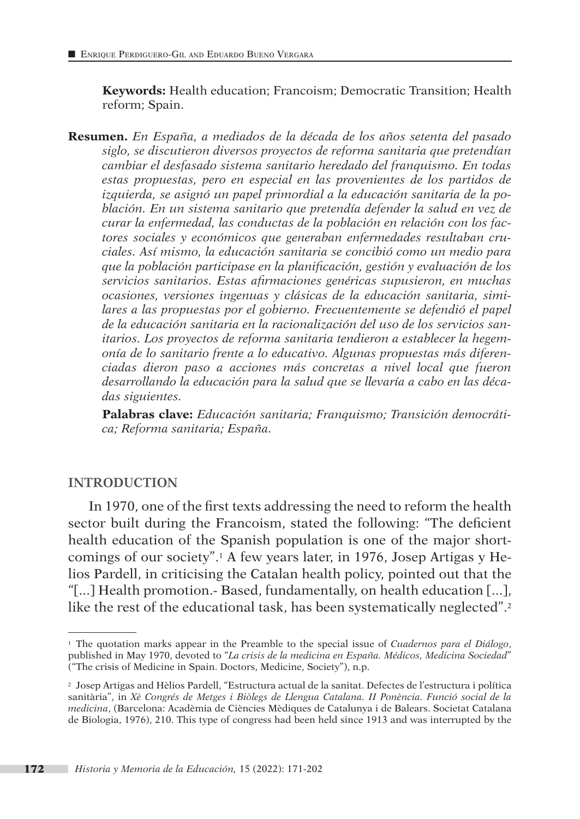**Keywords:** Health education; Francoism; Democratic Transition; Health reform; Spain.

**Resumen.** *En España, a mediados de la década de los años setenta del pasado siglo, se discutieron diversos proyectos de reforma sanitaria que pretendían cambiar el desfasado sistema sanitario heredado del franquismo. En todas estas propuestas, pero en especial en las provenientes de los partidos de izquierda, se asignó un papel primordial a la educación sanitaria de la población. En un sistema sanitario que pretendía defender la salud en vez de curar la enfermedad, las conductas de la población en relación con los factores sociales y económicos que generaban enfermedades resultaban cruciales. Así mismo, la educación sanitaria se concibió como un medio para que la población participase en la planificación, gestión y evaluación de los servicios sanitarios. Estas afirmaciones genéricas supusieron, en muchas ocasiones, versiones ingenuas y clásicas de la educación sanitaria, simi*lares a las propuestas por el gobierno. Frecuentemente se defendió el papel *de la educación sanitaria en la racionalización del uso de los servicios sanitarios. Los proyectos de reforma sanitaria tendieron a establecer la hegemonía de lo sanitario frente a lo educativo. Algunas propuestas más diferenciadas dieron paso a acciones más concretas a nivel local que fueron desarrollando la educación para la salud que se llevaría a cabo en las décadas siguientes.*

**Palabras clave:** *Educación sanitaria; Franquismo; Transición democrática; Reforma sanitaria; España.*

#### **INTRODUCTION**

In 1970, one of the first texts addressing the need to reform the health sector built during the Francoism, stated the following: "The deficient health education of the Spanish population is one of the major shortcomings of our society".1 A few years later, in 1976, Josep Artigas y Helios Pardell, in criticising the Catalan health policy, pointed out that the "[...] Health promotion.- Based, fundamentally, on health education [...], like the rest of the educational task, has been systematically neglected".<sup>2</sup>

<sup>1</sup> The quotation marks appear in the Preamble to the special issue of *Cuadernos para el Diálogo*, published in May 1970, devoted to "*La crisis de la medicina en España. Médicos, Medicina Sociedad*" ("The crisis of Medicine in Spain. Doctors, Medicine, Society"), n.p.

<sup>2</sup> Josep Artigas and Hèlios Pardell, "Estructura actual de la sanitat. Defectes de l'estructura i política sanitària", in *Xè Congrés de Metges i Biòlegs de Llengua Catalana. II Ponència. Funció social de la medicina*, (Barcelona: Acadèmia de Ciències Mèdiques de Catalunya i de Balears. Societat Catalana de Biologia, 1976), 210. This type of congress had been held since 1913 and was interrupted by the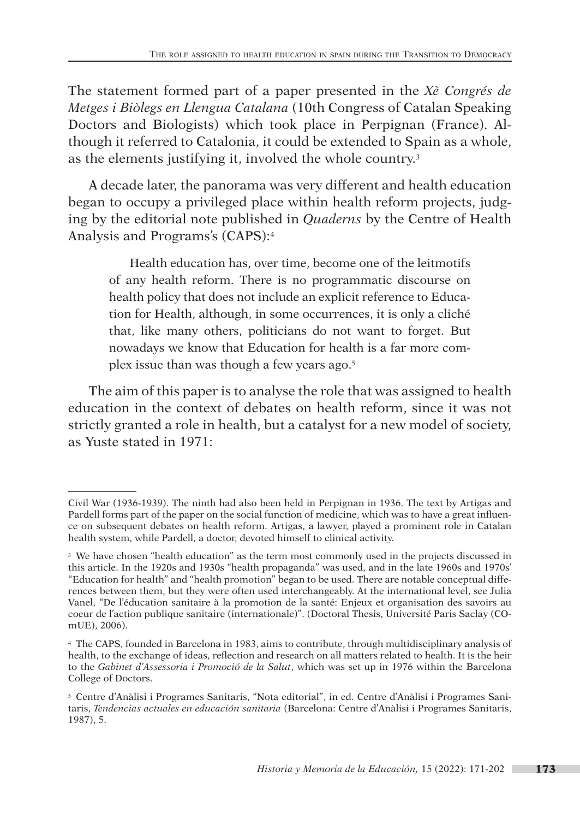The statement formed part of a paper presented in the *Xè Congrés de Metges i Biòlegs en Llengua Catalana* (10th Congress of Catalan Speaking Doctors and Biologists) which took place in Perpignan (France). Although it referred to Catalonia, it could be extended to Spain as a whole, as the elements justifying it, involved the whole country.3

A decade later, the panorama was very different and health education began to occupy a privileged place within health reform projects, judging by the editorial note published in *Quaderns* by the Centre of Health Analysis and Programs's (CAPS):4

Health education has, over time, become one of the leitmotifs of any health reform. There is no programmatic discourse on health policy that does not include an explicit reference to Education for Health, although, in some occurrences, it is only a cliché that, like many others, politicians do not want to forget. But nowadays we know that Education for health is a far more complex issue than was though a few years ago.5

The aim of this paper is to analyse the role that was assigned to health education in the context of debates on health reform, since it was not strictly granted a role in health, but a catalyst for a new model of society, as Yuste stated in 1971:

Civil War (1936-1939). The ninth had also been held in Perpignan in 1936. The text by Artigas and Pardell forms part of the paper on the social function of medicine, which was to have a great influence on subsequent debates on health reform. Artigas, a lawyer, played a prominent role in Catalan health system, while Pardell, a doctor, devoted himself to clinical activity.

<sup>&</sup>lt;sup>3</sup> We have chosen "health education" as the term most commonly used in the projects discussed in this article. In the 1920s and 1930s "health propaganda" was used, and in the late 1960s and 1970s' "Education for health" and "health promotion" began to be used. There are notable conceptual differences between them, but they were often used interchangeably. At the international level, see Julia Vanel, "De l'éducation sanitaire à la promotion de la santé: Enjeux et organisation des savoirs au coeur de l'action publique sanitaire (internationale)". (Doctoral Thesis, Université Paris Saclay (COmUE), 2006).

<sup>4</sup> The CAPS, founded in Barcelona in 1983, aims to contribute, through multidisciplinary analysis of health, to the exchange of ideas, reflection and research on all matters related to health. It is the heir to the *Gabinet d'Assessoria i Promoció de la Salut*, which was set up in 1976 within the Barcelona College of Doctors.

<sup>5</sup> Centre d'Anàlisi i Programes Sanitaris, "Nota editorial", in ed. Centre d'Anàlisi i Programes Sanitaris, *Tendencias actuales en educación sanitaria* (Barcelona: Centre d'Anàlisi i Programes Sanitaris, 1987), 5.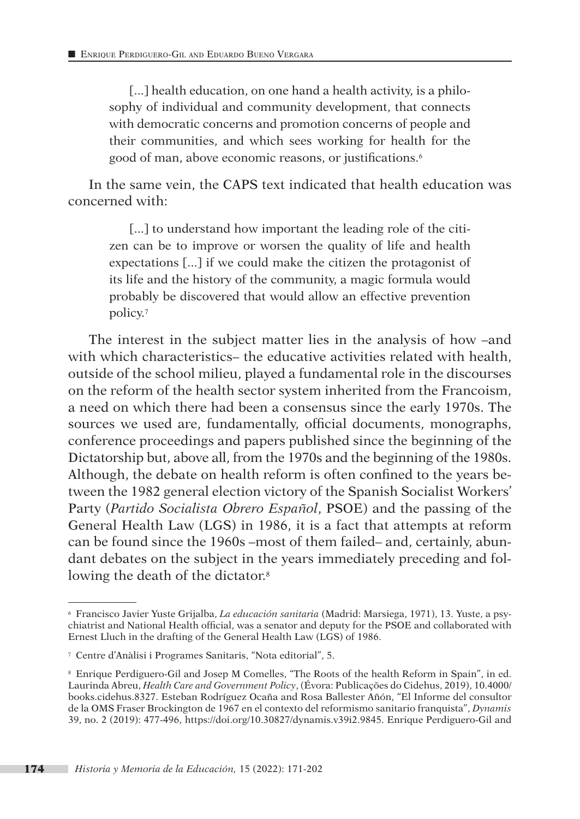[...] health education, on one hand a health activity, is a philosophy of individual and community development, that connects with democratic concerns and promotion concerns of people and their communities, and which sees working for health for the good of man, above economic reasons, or justifications.<sup>6</sup>

In the same vein, the CAPS text indicated that health education was concerned with:

[...] to understand how important the leading role of the citizen can be to improve or worsen the quality of life and health expectations [...] if we could make the citizen the protagonist of its life and the history of the community, a magic formula would probably be discovered that would allow an effective prevention policy.7

The interest in the subject matter lies in the analysis of how –and with which characteristics– the educative activities related with health, outside of the school milieu, played a fundamental role in the discourses on the reform of the health sector system inherited from the Francoism, a need on which there had been a consensus since the early 1970s. The sources we used are, fundamentally, official documents, monographs, conference proceedings and papers published since the beginning of the Dictatorship but, above all, from the 1970s and the beginning of the 1980s. Although, the debate on health reform is often confined to the years between the 1982 general election victory of the Spanish Socialist Workers' Party (*Partido Socialista Obrero Español*, PSOE) and the passing of the General Health Law (LGS) in 1986, it is a fact that attempts at reform can be found since the 1960s –most of them failed– and, certainly, abundant debates on the subject in the years immediately preceding and following the death of the dictator.<sup>8</sup>

<sup>6</sup> Francisco Javier Yuste Grijalba, *La educación sanitaria* (Madrid: Marsiega, 1971), 13. Yuste, a psychiatrist and National Health official, was a senator and deputy for the PSOE and collaborated with Ernest Lluch in the drafting of the General Health Law (LGS) of 1986.

<sup>7</sup> Centre d'Anàlisi i Programes Sanitaris, "Nota editorial", 5.

<sup>8</sup> Enrique Perdiguero-Gil and Josep M Comelles, "The Roots of the health Reform in Spain", in ed. Laurinda Abreu, *Health Care and Government Policy*, (Évora: Publicações do Cidehus, 2019), 10.4000/ books.cidehus.8327. Esteban Rodríguez Ocaña and Rosa Ballester Añón, "El Informe del consultor de la OMS Fraser Brockington de 1967 en el contexto del reformismo sanitario franquista", *Dynamis* 39, no. 2 (2019): 477-496, https://doi.org/10.30827/dynamis.v39i2.9845. Enrique Perdiguero-Gil and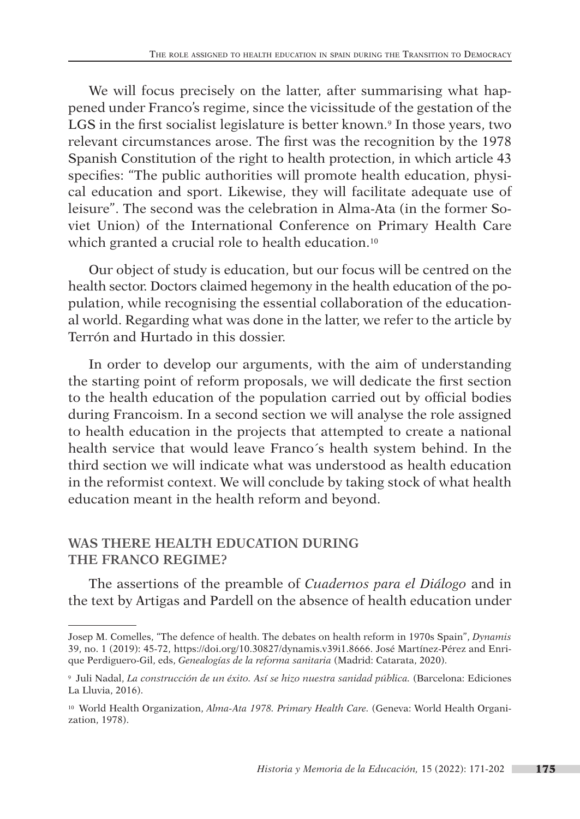We will focus precisely on the latter, after summarising what happened under Franco's regime, since the vicissitude of the gestation of the LGS in the first socialist legislature is better known.<sup>9</sup> In those years, two relevant circumstances arose. The first was the recognition by the 1978 Spanish Constitution of the right to health protection, in which article 43 specifies: "The public authorities will promote health education, physical education and sport. Likewise, they will facilitate adequate use of leisure". The second was the celebration in Alma-Ata (in the former Soviet Union) of the International Conference on Primary Health Care which granted a crucial role to health education.<sup>10</sup>

Our object of study is education, but our focus will be centred on the health sector. Doctors claimed hegemony in the health education of the population, while recognising the essential collaboration of the educational world. Regarding what was done in the latter, we refer to the article by Terrón and Hurtado in this dossier.

In order to develop our arguments, with the aim of understanding the starting point of reform proposals, we will dedicate the first section to the health education of the population carried out by official bodies during Francoism. In a second section we will analyse the role assigned to health education in the projects that attempted to create a national health service that would leave Franco´s health system behind. In the third section we will indicate what was understood as health education in the reformist context. We will conclude by taking stock of what health education meant in the health reform and beyond.

# **WAS THERE HEALTH EDUCATION DURING THE FRANCO REGIME?**

The assertions of the preamble of *Cuadernos para el Diálogo* and in the text by Artigas and Pardell on the absence of health education under

Josep M. Comelles, "The defence of health. The debates on health reform in 1970s Spain", *Dynamis* 39, no. 1 (2019): 45-72, https://doi.org/10.30827/dynamis.v39i1.8666. José Martínez-Pérez and Enrique Perdiguero-Gil, eds, *Genealogías de la reforma sanitaria* (Madrid: Catarata, 2020).

<sup>&</sup>lt;sup>9</sup> Juli Nadal, *La construcción de un éxito. Así se hizo nuestra sanidad pública.* (Barcelona: Ediciones La Lluvia, 2016).

<sup>10</sup> World Health Organization, *Alma-Ata 1978. Primary Health Care.* (Geneva: World Health Organization, 1978).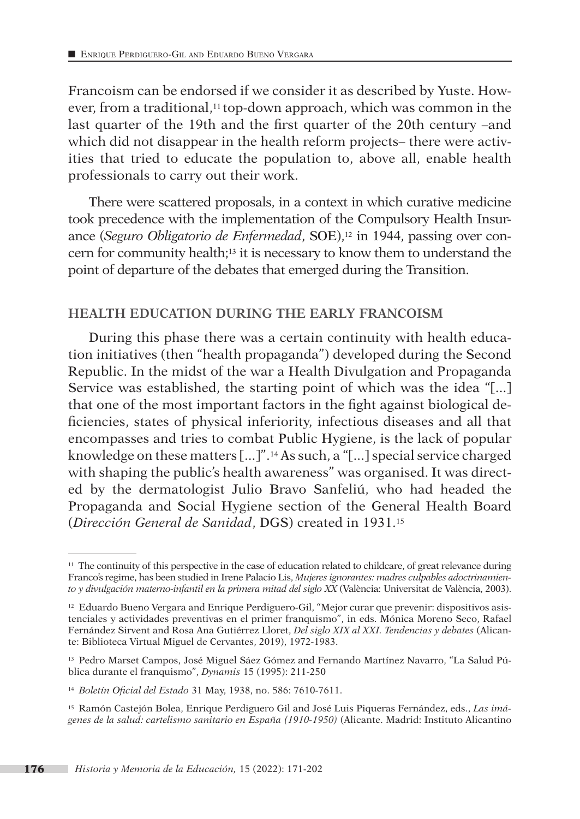Francoism can be endorsed if we consider it as described by Yuste. However, from a traditional,<sup>11</sup> top-down approach, which was common in the last quarter of the 19th and the first quarter of the 20th century –and which did not disappear in the health reform projects– there were activities that tried to educate the population to, above all, enable health professionals to carry out their work.

There were scattered proposals, in a context in which curative medicine took precedence with the implementation of the Compulsory Health Insurance (*Seguro Obligatorio de Enfermedad*, SOE),<sup>12</sup> in 1944, passing over concern for community health;13 it is necessary to know them to understand the point of departure of the debates that emerged during the Transition.

#### **HEALTH EDUCATION DURING THE EARLY FRANCOISM**

During this phase there was a certain continuity with health education initiatives (then "health propaganda") developed during the Second Republic. In the midst of the war a Health Divulgation and Propaganda Service was established, the starting point of which was the idea "[...] that one of the most important factors in the fight against biological deficiencies, states of physical inferiority, infectious diseases and all that encompasses and tries to combat Public Hygiene, is the lack of popular knowledge on these matters [...]".14 As such, a "[...] special service charged with shaping the public's health awareness" was organised. It was directed by the dermatologist Julio Bravo Sanfeliú, who had headed the Propaganda and Social Hygiene section of the General Health Board (*Dirección General de Sanidad*, DGS) created in 1931.15

<sup>11</sup> The continuity of this perspective in the case of education related to childcare, of great relevance during Franco's regime, has been studied in Irene Palacio Lis, *Mujeres ignorantes: madres culpables adoctrinamiento y divulgación materno-infantil en la primera mitad del siglo XX* (València: Universitat de València, 2003).

<sup>12</sup> Eduardo Bueno Vergara and Enrique Perdiguero-Gil, "Mejor curar que prevenir: dispositivos asistenciales y actividades preventivas en el primer franquismo", in eds. Mónica Moreno Seco, Rafael Fernández Sirvent and Rosa Ana Gutiérrez Lloret, *Del siglo XIX al XXI. Tendencias y debates* (Alicante: Biblioteca Virtual Miguel de Cervantes, 2019), 1972-1983.

<sup>13</sup> Pedro Marset Campos, José Miguel Sáez Gómez and Fernando Martínez Navarro, "La Salud Pública durante el franquismo", *Dynamis* 15 (1995): 211-250

<sup>14</sup> *Boletín Oficial del Estado* 31 May, 1938, no. 586: 7610-7611.

<sup>15</sup> Ramón Castejón Bolea, Enrique Perdiguero Gil and José Luis Piqueras Fernández, eds., *Las imágenes de la salud: cartelismo sanitario en España (1910-1950)* (Alicante. Madrid: Instituto Alicantino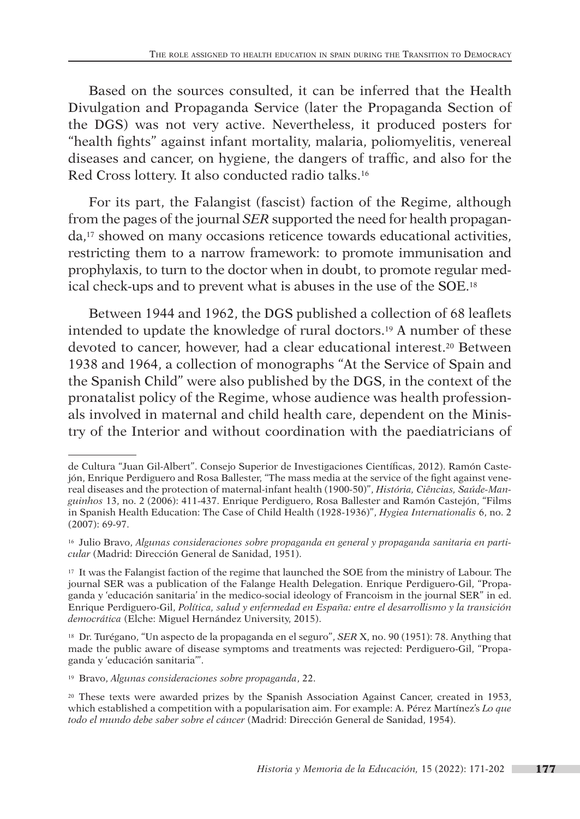Based on the sources consulted, it can be inferred that the Health Divulgation and Propaganda Service (later the Propaganda Section of the DGS) was not very active. Nevertheless, it produced posters for "health fights" against infant mortality, malaria, poliomyelitis, venereal diseases and cancer, on hygiene, the dangers of traffic, and also for the Red Cross lottery. It also conducted radio talks.16

For its part, the Falangist (fascist) faction of the Regime, although from the pages of the journal *SER* supported the need for health propaganda,17 showed on many occasions reticence towards educational activities, restricting them to a narrow framework: to promote immunisation and prophylaxis, to turn to the doctor when in doubt, to promote regular medical check-ups and to prevent what is abuses in the use of the SOE.18

Between 1944 and 1962, the DGS published a collection of 68 leaflets intended to update the knowledge of rural doctors.19 A number of these devoted to cancer, however, had a clear educational interest.<sup>20</sup> Between 1938 and 1964, a collection of monographs "At the Service of Spain and the Spanish Child" were also published by the DGS, in the context of the pronatalist policy of the Regime, whose audience was health professionals involved in maternal and child health care, dependent on the Ministry of the Interior and without coordination with the paediatricians of

de Cultura "Juan Gil-Albert". Consejo Superior de Investigaciones Científicas, 2012). Ramón Castejón, Enrique Perdiguero and Rosa Ballester, "The mass media at the service of the fight against venereal diseases and the protection of maternal-infant health (1900-50)", *História, Ciências, Saúde-Manguinhos* 13, no. 2 (2006): 411-437. Enrique Perdiguero, Rosa Ballester and Ramón Castejón, "Films in Spanish Health Education: The Case of Child Health (1928-1936)", *Hygiea Internationalis* 6, no. 2 (2007): 69-97.

<sup>16</sup> Julio Bravo, *Algunas consideraciones sobre propaganda en general y propaganda sanitaria en particular* (Madrid: Dirección General de Sanidad, 1951).

<sup>17</sup> It was the Falangist faction of the regime that launched the SOE from the ministry of Labour. The journal SER was a publication of the Falange Health Delegation. Enrique Perdiguero-Gil, "Propaganda y 'educación sanitaria' in the medico-social ideology of Francoism in the journal SER" in ed. Enrique Perdiguero-Gil, *Política, salud y enfermedad en España: entre el desarrollismo y la transición democrática* (Elche: Miguel Hernández University, 2015).

<sup>18</sup> Dr. Turégano, "Un aspecto de la propaganda en el seguro", *SER* X, no. 90 (1951): 78. Anything that made the public aware of disease symptoms and treatments was rejected: Perdiguero-Gil, "Propaganda y 'educación sanitaria'".

<sup>19</sup> Bravo, *Algunas consideraciones sobre propaganda*, 22.

<sup>20</sup> These texts were awarded prizes by the Spanish Association Against Cancer, created in 1953, which established a competition with a popularisation aim. For example: A. Pérez Martínez's *Lo que todo el mundo debe saber sobre el cáncer* (Madrid: Dirección General de Sanidad, 1954).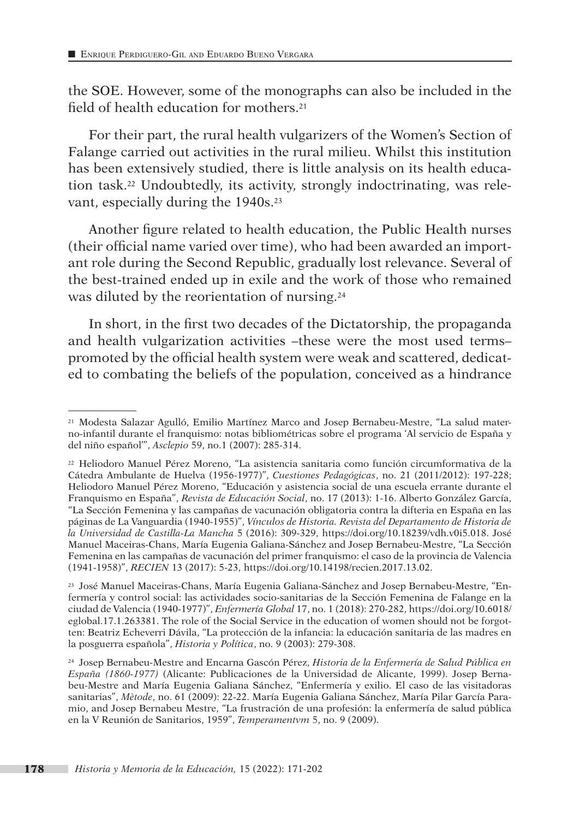the SOE. However, some of the monographs can also be included in the field of health education for mothers.<sup>21</sup>

For their part, the rural health vulgarizers of the Women's Section of Falange carried out activities in the rural milieu. Whilst this institution has been extensively studied, there is little analysis on its health education task.22 Undoubtedly, its activity, strongly indoctrinating, was relevant, especially during the 1940s.23

Another figure related to health education, the Public Health nurses (their official name varied over time), who had been awarded an important role during the Second Republic, gradually lost relevance. Several of the best-trained ended up in exile and the work of those who remained was diluted by the reorientation of nursing.<sup>24</sup>

In short, in the first two decades of the Dictatorship, the propaganda and health vulgarization activities –these were the most used terms– promoted by the official health system were weak and scattered, dedicated to combating the beliefs of the population, conceived as a hindrance

<sup>21</sup> Modesta Salazar Agulló, Emilio Martínez Marco and Josep Bernabeu-Mestre, "La salud materno-infantil durante el franquismo: notas bibliométricas sobre el programa 'Al servicio de España y del niño español'", *Asclepio* 59, no.1 (2007): 285-314.

<sup>22</sup> Heliodoro Manuel Pérez Moreno, "La asistencia sanitaria como función circumformativa de la Cátedra Ambulante de Huelva (1956-1977)", *Cuestiones Pedagógicas*, no. 21 (2011/2012): 197-228; Heliodoro Manuel Pérez Moreno, "Educación y asistencia social de una escuela errante durante el Franquismo en España", *Revista de Educación Social*, no. 17 (2013): 1-16. Alberto González García, "La Sección Femenina y las campañas de vacunación obligatoria contra la difteria en España en las páginas de La Vanguardia (1940-1955)", *Vínculos de Historia. Revista del Departamento de Historia de la Universidad de Castilla-La Mancha* 5 (2016): 309-329, https://doi.org/10.18239/vdh.v0i5.018. José Manuel Maceiras-Chans, María Eugenia Galiana-Sánchez and Josep Bernabeu-Mestre, "La Sección Femenina en las campañas de vacunación del primer franquismo: el caso de la provincia de Valencia (1941-1958)", *RECIEN* 13 (2017): 5-23, https://doi.org/10.14198/recien.2017.13.02.

<sup>23</sup> José Manuel Maceiras-Chans, María Eugenia Galiana-Sánchez and Josep Bernabeu-Mestre, "Enfermería y control social: las actividades socio-sanitarias de la Sección Femenina de Falange en la ciudad de Valencia (1940-1977)", *Enfermería Global* 17, no. 1 (2018): 270-282, https://doi.org/10.6018/ eglobal.17.1.263381. The role of the Social Service in the education of women should not be forgotten: Beatriz Echeverri Dávila, "La protección de la infancia: la educación sanitaria de las madres en la posguerra española", *Historia y Política*, no. 9 (2003): 279-308.

<sup>24</sup> Josep Bernabeu-Mestre and Encarna Gascón Pérez, *Historia de la Enfermería de Salud Pública en España (1860-1977)* (Alicante: Publicaciones de la Universidad de Alicante, 1999). Josep Bernabeu-Mestre and María Eugenia Galiana Sánchez, "Enfermería y exilio. El caso de las visitadoras sanitarias", *Mètode*, no. 61 (2009): 22-22. María Eugenia Galiana Sánchez, María Pilar García Paramio, and Josep Bernabeu Mestre, "La frustración de una profesión: la enfermería de salud pública en la V Reunión de Sanitarios, 1959", *Temperamentvm* 5, no. 9 (2009).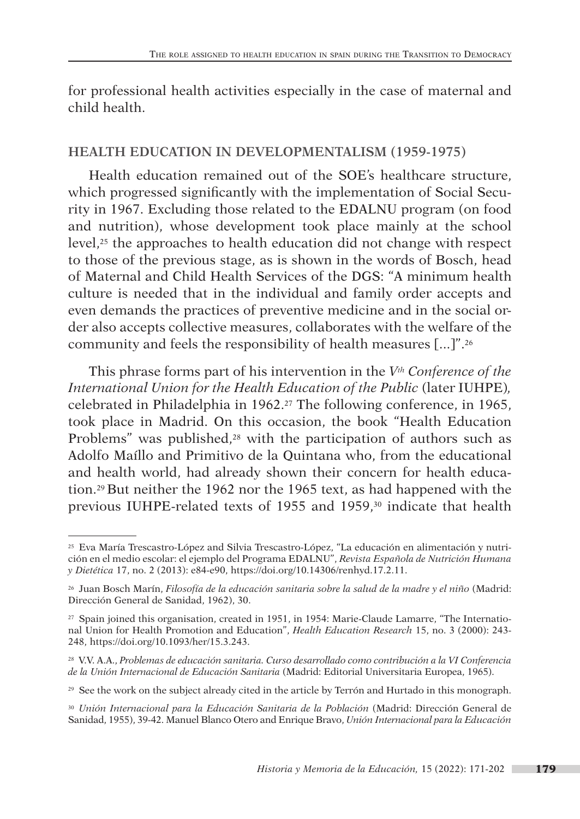for professional health activities especially in the case of maternal and child health.

#### **HEALTH EDUCATION IN DEVELOPMENTALISM (1959-1975)**

Health education remained out of the SOE's healthcare structure, which progressed significantly with the implementation of Social Security in 1967. Excluding those related to the EDALNU program (on food and nutrition), whose development took place mainly at the school level,25 the approaches to health education did not change with respect to those of the previous stage, as is shown in the words of Bosch, head of Maternal and Child Health Services of the DGS: "A minimum health culture is needed that in the individual and family order accepts and even demands the practices of preventive medicine and in the social order also accepts collective measures, collaborates with the welfare of the community and feels the responsibility of health measures [...]".26

This phrase forms part of his intervention in the *Vth Conference of the International Union for the Health Education of the Public* (later IUHPE)*,*  celebrated in Philadelphia in 1962.27 The following conference, in 1965, took place in Madrid. On this occasion, the book "Health Education Problems" was published,<sup>28</sup> with the participation of authors such as Adolfo Maíllo and Primitivo de la Quintana who, from the educational and health world, had already shown their concern for health education.29 But neither the 1962 nor the 1965 text, as had happened with the previous IUHPE-related texts of 1955 and 1959,30 indicate that health

<sup>25</sup> Eva María Trescastro-López and Silvia Trescastro-López, "La educación en alimentación y nutrición en el medio escolar: el ejemplo del Programa EDALNU", *Revista Española de Nutrición Humana y Dietética* 17, no. 2 (2013): e84-e90, https://doi.org/10.14306/renhyd.17.2.11.

<sup>26</sup> Juan Bosch Marín, *Filosofía de la educación sanitaria sobre la salud de la madre y el niño* (Madrid: Dirección General de Sanidad, 1962), 30.

<sup>27</sup> Spain joined this organisation, created in 1951, in 1954: Marie-Claude Lamarre, "The International Union for Health Promotion and Education", *Health Education Research* 15, no. 3 (2000): 243- 248, https://doi.org/10.1093/her/15.3.243.

<sup>28</sup> V.V. A.A., *Problemas de educación sanitaria. Curso desarrollado como contribución a la VI Conferencia de la Unión Internacional de Educación Sanitaria* (Madrid: Editorial Universitaria Europea, 1965).

<sup>&</sup>lt;sup>29</sup> See the work on the subject already cited in the article by Terrón and Hurtado in this monograph.

<sup>30</sup> *Unión Internacional para la Educación Sanitaria de la Población* (Madrid: Dirección General de Sanidad, 1955), 39-42. Manuel Blanco Otero and Enrique Bravo, *Unión Internacional para la Educación*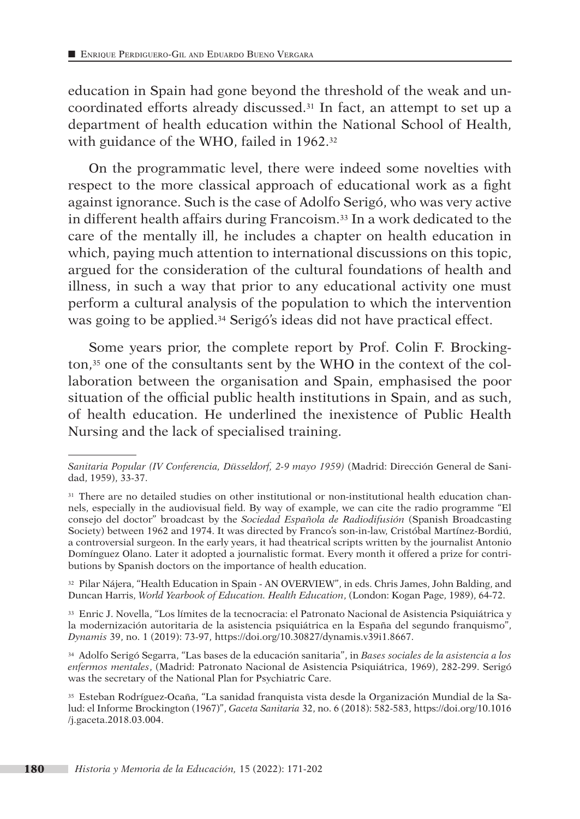education in Spain had gone beyond the threshold of the weak and uncoordinated efforts already discussed.31 In fact, an attempt to set up a department of health education within the National School of Health, with guidance of the WHO, failed in 1962.<sup>32</sup>

On the programmatic level, there were indeed some novelties with respect to the more classical approach of educational work as a fight against ignorance. Such is the case of Adolfo Serigó, who was very active in different health affairs during Francoism.33 In a work dedicated to the care of the mentally ill, he includes a chapter on health education in which, paying much attention to international discussions on this topic, argued for the consideration of the cultural foundations of health and illness, in such a way that prior to any educational activity one must perform a cultural analysis of the population to which the intervention was going to be applied.34 Serigó's ideas did not have practical effect.

Some years prior, the complete report by Prof. Colin F. Brockington,35 one of the consultants sent by the WHO in the context of the collaboration between the organisation and Spain, emphasised the poor situation of the official public health institutions in Spain, and as such, of health education. He underlined the inexistence of Public Health Nursing and the lack of specialised training.

<sup>32</sup> Pilar Nájera, "Health Education in Spain - AN OVERVIEW", in eds. Chris James, John Balding, and Duncan Harris, *World Yearbook of Education. Health Education*, (London: Kogan Page, 1989), 64-72.

<sup>33</sup> Enric J. Novella, "Los límites de la tecnocracia: el Patronato Nacional de Asistencia Psiquiátrica y la modernización autoritaria de la asistencia psiquiátrica en la España del segundo franquismo", *Dynamis* 39, no. 1 (2019): 73-97, https://doi.org/10.30827/dynamis.v39i1.8667.

<sup>34</sup> Adolfo Serigó Segarra, "Las bases de la educación sanitaria", in *Bases sociales de la asistencia a los enfermos mentales*, (Madrid: Patronato Nacional de Asistencia Psiquiátrica, 1969), 282-299. Serigó was the secretary of the National Plan for Psychiatric Care.

<sup>35</sup> Esteban Rodríguez-Ocaña, "La sanidad franquista vista desde la Organización Mundial de la Salud: el Informe Brockington (1967)", *Gaceta Sanitaria* 32, no. 6 (2018): 582-583, https://doi.org/10.1016 /j.gaceta.2018.03.004.

*Sanitaria Popular (IV Conferencia, Düsseldorf, 2-9 mayo 1959)* (Madrid: Dirección General de Sanidad, 1959), 33-37.

<sup>&</sup>lt;sup>31</sup> There are no detailed studies on other institutional or non-institutional health education channels, especially in the audiovisual field. By way of example, we can cite the radio programme "El consejo del doctor" broadcast by the *Sociedad Española de Radiodifusión* (Spanish Broadcasting Society) between 1962 and 1974. It was directed by Franco's son-in-law, Cristóbal Martínez-Bordiú, a controversial surgeon. In the early years, it had theatrical scripts written by the journalist Antonio Domínguez Olano. Later it adopted a journalistic format. Every month it offered a prize for contributions by Spanish doctors on the importance of health education.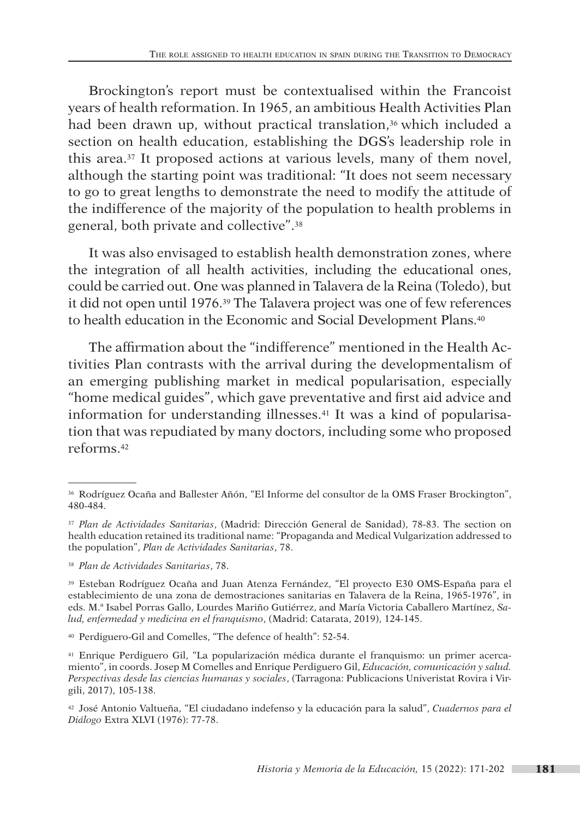Brockington's report must be contextualised within the Francoist years of health reformation. In 1965, an ambitious Health Activities Plan had been drawn up, without practical translation,<sup>36</sup> which included a section on health education, establishing the DGS's leadership role in this area.37 It proposed actions at various levels, many of them novel, although the starting point was traditional: "It does not seem necessary to go to great lengths to demonstrate the need to modify the attitude of the indifference of the majority of the population to health problems in general, both private and collective".38

It was also envisaged to establish health demonstration zones, where the integration of all health activities, including the educational ones, could be carried out. One was planned in Talavera de la Reina (Toledo), but it did not open until 1976.39 The Talavera project was one of few references to health education in the Economic and Social Development Plans.<sup>40</sup>

The affirmation about the "indifference" mentioned in the Health Activities Plan contrasts with the arrival during the developmentalism of an emerging publishing market in medical popularisation, especially "home medical guides", which gave preventative and first aid advice and information for understanding illnesses.41 It was a kind of popularisation that was repudiated by many doctors, including some who proposed reforms.42

<sup>36</sup> Rodríguez Ocaña and Ballester Añón, "El Informe del consultor de la OMS Fraser Brockington", 480-484.

<sup>37</sup> *Plan de Actividades Sanitarias*, (Madrid: Dirección General de Sanidad), 78-83. The section on health education retained its traditional name: "Propaganda and Medical Vulgarization addressed to the population", *Plan de Actividades Sanitarias*, 78.

<sup>38</sup> *Plan de Actividades Sanitarias*, 78.

<sup>39</sup> Esteban Rodríguez Ocaña and Juan Atenza Fernández, "El proyecto E30 OMS-España para el establecimiento de una zona de demostraciones sanitarias en Talavera de la Reina, 1965-1976", in eds. M.ª Isabel Porras Gallo, Lourdes Mariño Gutiérrez, and María Victoria Caballero Martínez, *Salud, enfermedad y medicina en el franquismo*, (Madrid: Catarata, 2019), 124-145.

<sup>40</sup> Perdiguero-Gil and Comelles, "The defence of health": 52-54.

<sup>41</sup> Enrique Perdiguero Gil, "La popularización médica durante el franquismo: un primer acercamiento", in coords. Josep M Comelles and Enrique Perdiguero Gil, *Educación, comunicación y salud. Perspectivas desde las ciencias humanas y sociales*, (Tarragona: Publicacions Univeristat Rovira i Virgili, 2017), 105-138.

<sup>42</sup> José Antonio Valtueña, "El ciudadano indefenso y la educación para la salud", *Cuadernos para el Diálogo* Extra XLVI (1976): 77-78.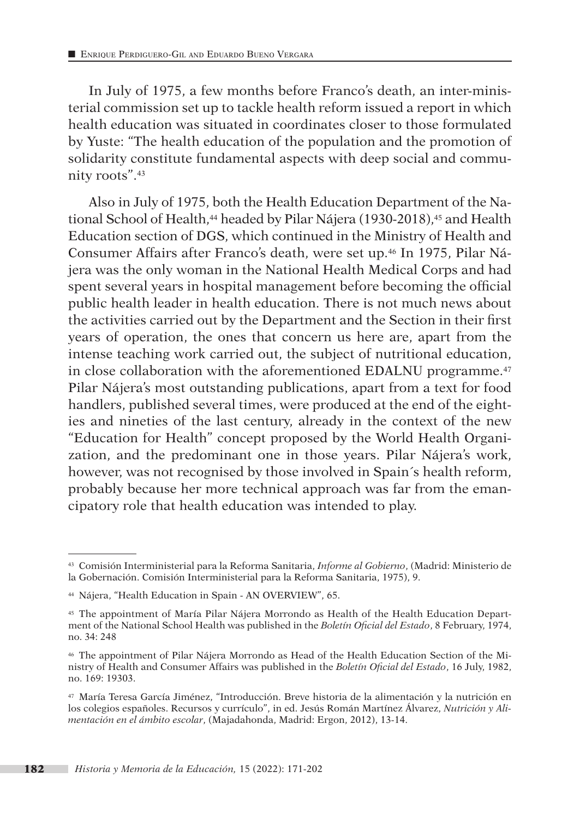In July of 1975, a few months before Franco's death, an inter-ministerial commission set up to tackle health reform issued a report in which health education was situated in coordinates closer to those formulated by Yuste: "The health education of the population and the promotion of solidarity constitute fundamental aspects with deep social and community roots".43

Also in July of 1975, both the Health Education Department of the National School of Health,<sup>44</sup> headed by Pilar Nájera (1930-2018),<sup>45</sup> and Health Education section of DGS, which continued in the Ministry of Health and Consumer Affairs after Franco's death, were set up.46 In 1975, Pilar Nájera was the only woman in the National Health Medical Corps and had spent several years in hospital management before becoming the official public health leader in health education. There is not much news about the activities carried out by the Department and the Section in their first years of operation, the ones that concern us here are, apart from the intense teaching work carried out, the subject of nutritional education, in close collaboration with the aforementioned EDALNU programme.<sup>47</sup> Pilar Nájera's most outstanding publications, apart from a text for food handlers, published several times, were produced at the end of the eighties and nineties of the last century, already in the context of the new "Education for Health" concept proposed by the World Health Organization, and the predominant one in those years. Pilar Nájera's work, however, was not recognised by those involved in Spain´s health reform, probably because her more technical approach was far from the emancipatory role that health education was intended to play.

<sup>43</sup> Comisión Interministerial para la Reforma Sanitaria, *Informe al Gobierno*, (Madrid: Ministerio de la Gobernación. Comisión Interministerial para la Reforma Sanitaria, 1975), 9.

<sup>44</sup> Nájera, "Health Education in Spain - AN OVERVIEW", 65.

<sup>45</sup> The appointment of María Pilar Nájera Morrondo as Health of the Health Education Department of the National School Health was published in the *Boletín Oficial del Estado*, 8 February, 1974, no. 34: 248

<sup>&</sup>lt;sup>46</sup> The appointment of Pilar Nájera Morrondo as Head of the Health Education Section of the Ministry of Health and Consumer Affairs was published in the *Boletín Oficial del Estado*, 16 July, 1982, no. 169: 19303.

<sup>47</sup> María Teresa García Jiménez, "Introducción. Breve historia de la alimentación y la nutrición en los colegios españoles. Recursos y currículo", in ed. Jesús Román Martínez Álvarez, *Nutrición y Alimentación en el ámbito escolar*, (Majadahonda, Madrid: Ergon, 2012), 13-14.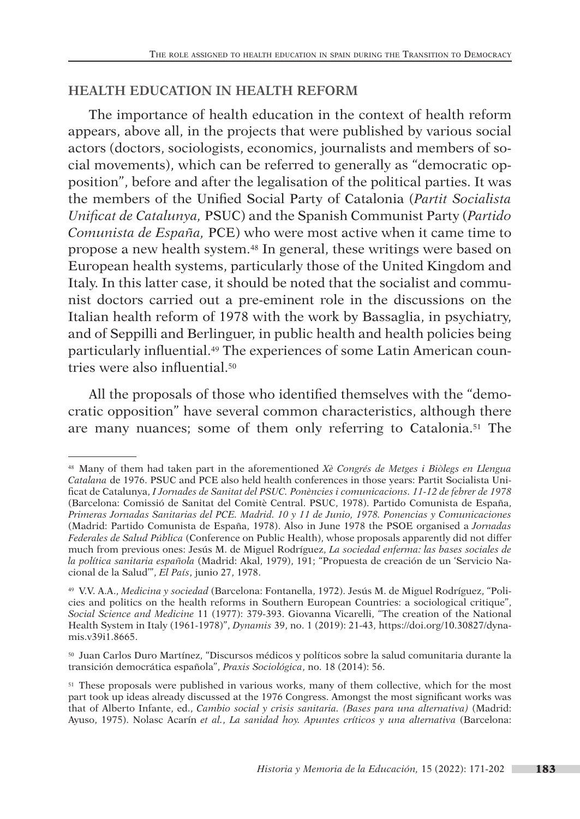# **HEALTH EDUCATION IN HEALTH REFORM**

The importance of health education in the context of health reform appears, above all, in the projects that were published by various social actors (doctors, sociologists, economics, journalists and members of social movements), which can be referred to generally as "democratic opposition", before and after the legalisation of the political parties. It was the members of the Unified Social Party of Catalonia (*Partit Socialista Unificat de Catalunya,* PSUC) and the Spanish Communist Party (*Partido Comunista de España,* PCE) who were most active when it came time to propose a new health system.48 In general, these writings were based on European health systems, particularly those of the United Kingdom and Italy. In this latter case, it should be noted that the socialist and communist doctors carried out a pre-eminent role in the discussions on the Italian health reform of 1978 with the work by Bassaglia, in psychiatry, and of Seppilli and Berlinguer, in public health and health policies being particularly influential.49 The experiences of some Latin American countries were also influential.<sup>50</sup>

All the proposals of those who identified themselves with the "democratic opposition" have several common characteristics, although there are many nuances; some of them only referring to Catalonia.51 The

<sup>48</sup> Many of them had taken part in the aforementioned *Xè Congrés de Metges i Biòlegs en Llengua Catalana* de 1976. PSUC and PCE also held health conferences in those years: Partit Socialista Unificat de Catalunya, *I Jornades de Sanitat del PSUC. Ponències i comunicacions. 11-12 de febrer de 1978* (Barcelona: Comissió de Sanitat del Comitè Central. PSUC, 1978). Partido Comunista de España, *Primeras Jornadas Sanitarias del PCE. Madrid. 10 y 11 de Junio, 1978. Ponencias y Comunicaciones* (Madrid: Partido Comunista de España, 1978). Also in June 1978 the PSOE organised a *Jornadas Federales de Salud Pública* (Conference on Public Health), whose proposals apparently did not differ much from previous ones: Jesús M. de Miguel Rodríguez, *La sociedad enferma: las bases sociales de la política sanitaria española* (Madrid: Akal, 1979), 191; "Propuesta de creación de un 'Servicio Nacional de la Salud'", *El País*, junio 27, 1978.

<sup>49</sup> V.V. A.A., *Medicina y sociedad* (Barcelona: Fontanella, 1972). Jesús M. de Miguel Rodríguez, "Policies and politics on the health reforms in Southern European Countries: a sociological critique", *Social Science and Medicine* 11 (1977): 379-393. Giovanna Vicarelli, "The creation of the National Health System in Italy (1961-1978)", *Dynamis* 39, no. 1 (2019): 21-43, https://doi.org/10.30827/dynamis.v39i1.8665.

<sup>50</sup> Juan Carlos Duro Martínez, "Discursos médicos y políticos sobre la salud comunitaria durante la transición democrática española", *Praxis Sociológica*, no. 18 (2014): 56.

<sup>&</sup>lt;sup>51</sup> These proposals were published in various works, many of them collective, which for the most part took up ideas already discussed at the 1976 Congress. Amongst the most significant works was that of Alberto Infante, ed., *Cambio social y crisis sanitaria. (Bases para una alternativa)* (Madrid: Ayuso, 1975). Nolasc Acarín *et al.*, *La sanidad hoy. Apuntes críticos y una alternativa* (Barcelona: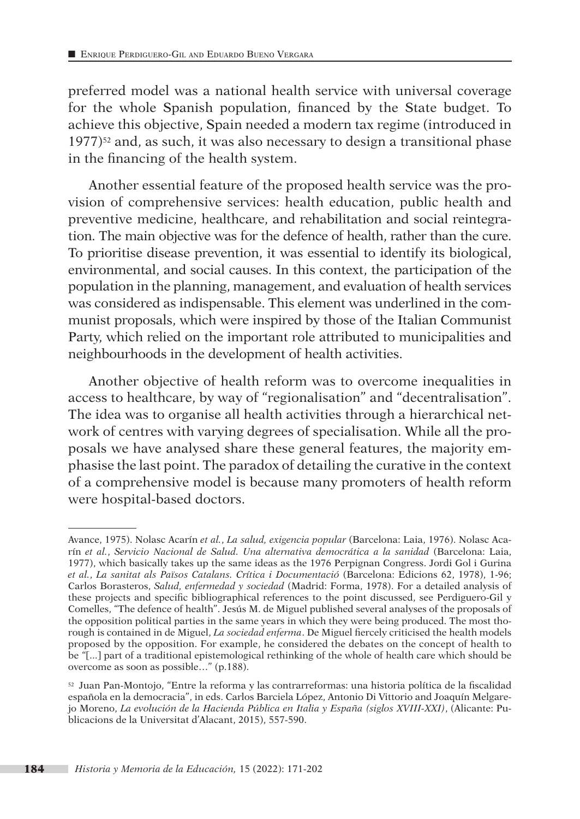preferred model was a national health service with universal coverage for the whole Spanish population, financed by the State budget. To achieve this objective, Spain needed a modern tax regime (introduced in  $1977)$ <sup>52</sup> and, as such, it was also necessary to design a transitional phase in the financing of the health system.

Another essential feature of the proposed health service was the provision of comprehensive services: health education, public health and preventive medicine, healthcare, and rehabilitation and social reintegration. The main objective was for the defence of health, rather than the cure. To prioritise disease prevention, it was essential to identify its biological, environmental, and social causes. In this context, the participation of the population in the planning, management, and evaluation of health services was considered as indispensable. This element was underlined in the communist proposals, which were inspired by those of the Italian Communist Party, which relied on the important role attributed to municipalities and neighbourhoods in the development of health activities.

Another objective of health reform was to overcome inequalities in access to healthcare, by way of "regionalisation" and "decentralisation". The idea was to organise all health activities through a hierarchical network of centres with varying degrees of specialisation. While all the proposals we have analysed share these general features, the majority emphasise the last point. The paradox of detailing the curative in the context of a comprehensive model is because many promoters of health reform were hospital-based doctors.

Avance, 1975). Nolasc Acarín *et al.*, *La salud, exigencia popular* (Barcelona: Laia, 1976). Nolasc Acarín *et al.*, *Servicio Nacional de Salud. Una alternativa democrática a la sanidad* (Barcelona: Laia, 1977), which basically takes up the same ideas as the 1976 Perpignan Congress. Jordi Gol i Gurina *et al.*, *La sanitat als Països Catalans. Crítica i Documentació* (Barcelona: Edicions 62, 1978), 1-96; Carlos Borasteros, *Salud, enfermedad y sociedad* (Madrid: Forma, 1978). For a detailed analysis of these projects and specific bibliographical references to the point discussed, see Perdiguero-Gil y Comelles, "The defence of health". Jesús M. de Miguel published several analyses of the proposals of the opposition political parties in the same years in which they were being produced. The most thorough is contained in de Miguel, *La sociedad enferma*. De Miguel fiercely criticised the health models proposed by the opposition. For example, he considered the debates on the concept of health to be "[...] part of a traditional epistemological rethinking of the whole of health care which should be overcome as soon as possible…" (p.188).

<sup>52</sup> Juan Pan-Montojo, "Entre la reforma y las contrarreformas: una historia política de la fiscalidad española en la democracia", in eds. Carlos Barciela López, Antonio Di Vittorio and Joaquín Melgarejo Moreno, *La evolución de la Hacienda Pública en Italia y España (siglos XVIII-XXI)*, (Alicante: Publicacions de la Universitat d'Alacant, 2015), 557-590.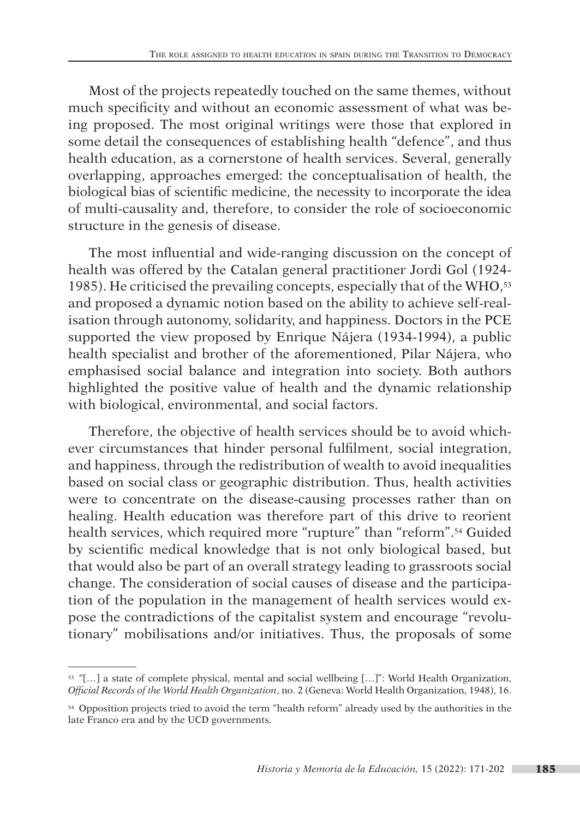Most of the projects repeatedly touched on the same themes, without much specificity and without an economic assessment of what was being proposed. The most original writings were those that explored in some detail the consequences of establishing health "defence", and thus health education, as a cornerstone of health services. Several, generally overlapping, approaches emerged: the conceptualisation of health, the biological bias of scientific medicine, the necessity to incorporate the idea of multi-causality and, therefore, to consider the role of socioeconomic structure in the genesis of disease.

The most influential and wide-ranging discussion on the concept of health was offered by the Catalan general practitioner Jordi Gol (1924- 1985). He criticised the prevailing concepts, especially that of the WHO,<sup>53</sup> and proposed a dynamic notion based on the ability to achieve self-realisation through autonomy, solidarity, and happiness. Doctors in the PCE supported the view proposed by Enrique Nájera (1934-1994), a public health specialist and brother of the aforementioned, Pilar Nájera, who emphasised social balance and integration into society. Both authors highlighted the positive value of health and the dynamic relationship with biological, environmental, and social factors.

Therefore, the objective of health services should be to avoid whichever circumstances that hinder personal fulfilment, social integration, and happiness, through the redistribution of wealth to avoid inequalities based on social class or geographic distribution. Thus, health activities were to concentrate on the disease-causing processes rather than on healing. Health education was therefore part of this drive to reorient health services, which required more "rupture" than "reform".54 Guided by scientific medical knowledge that is not only biological based, but that would also be part of an overall strategy leading to grassroots social change. The consideration of social causes of disease and the participation of the population in the management of health services would expose the contradictions of the capitalist system and encourage "revolutionary" mobilisations and/or initiatives. Thus, the proposals of some

<sup>53</sup> "[…] a state of complete physical, mental and social wellbeing […]": World Health Organization, *Official Records of the World Health Organization*, no. 2 (Geneva: World Health Organization, 1948), 16.

<sup>54</sup> Opposition projects tried to avoid the term "health reform" already used by the authorities in the late Franco era and by the UCD governments.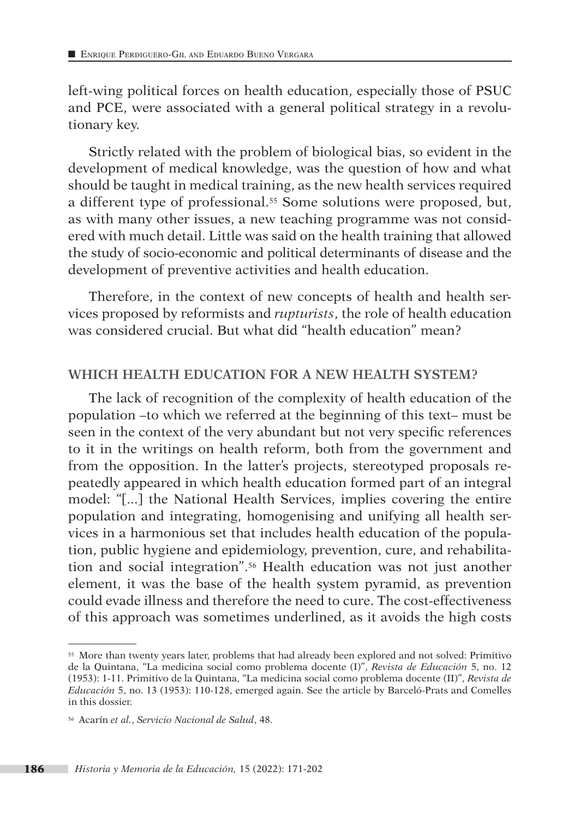left-wing political forces on health education, especially those of PSUC and PCE, were associated with a general political strategy in a revolutionary key.

Strictly related with the problem of biological bias, so evident in the development of medical knowledge, was the question of how and what should be taught in medical training, as the new health services required a different type of professional.55 Some solutions were proposed, but, as with many other issues, a new teaching programme was not considered with much detail. Little was said on the health training that allowed the study of socio-economic and political determinants of disease and the development of preventive activities and health education.

Therefore, in the context of new concepts of health and health services proposed by reformists and *rupturists*, the role of health education was considered crucial. But what did "health education" mean?

# **WHICH HEALTH EDUCATION FOR A NEW HEALTH SYSTEM?**

The lack of recognition of the complexity of health education of the population –to which we referred at the beginning of this text– must be seen in the context of the very abundant but not very specific references to it in the writings on health reform, both from the government and from the opposition. In the latter's projects, stereotyped proposals repeatedly appeared in which health education formed part of an integral model: "[...] the National Health Services, implies covering the entire population and integrating, homogenising and unifying all health services in a harmonious set that includes health education of the population, public hygiene and epidemiology, prevention, cure, and rehabilitation and social integration".56 Health education was not just another element, it was the base of the health system pyramid, as prevention could evade illness and therefore the need to cure. The cost-effectiveness of this approach was sometimes underlined, as it avoids the high costs

<sup>55</sup> More than twenty years later, problems that had already been explored and not solved: Primitivo de la Quintana, "La medicina social como problema docente (I)", *Revista de Educación* 5, no. 12 (1953): 1-11. Primitivo de la Quintana, "La medicina social como problema docente (II)", *Revista de Educación* 5, no. 13 (1953): 110-128, emerged again. See the article by Barceló-Prats and Comelles in this dossier.

<sup>56</sup> Acarín *et al.*, *Servicio Nacional de Salud*, 48.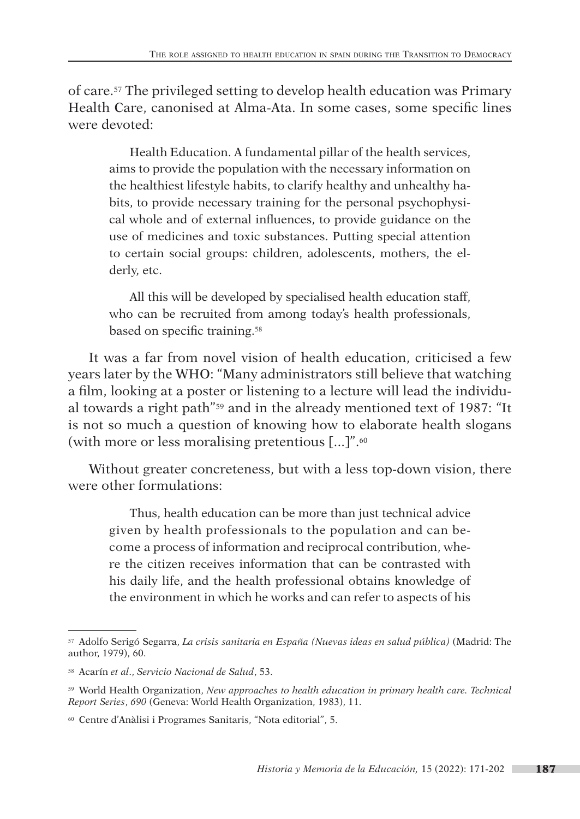of care.57 The privileged setting to develop health education was Primary Health Care, canonised at Alma-Ata. In some cases, some specific lines were devoted:

Health Education. A fundamental pillar of the health services, aims to provide the population with the necessary information on the healthiest lifestyle habits, to clarify healthy and unhealthy habits, to provide necessary training for the personal psychophysical whole and of external influences, to provide guidance on the use of medicines and toxic substances. Putting special attention to certain social groups: children, adolescents, mothers, the elderly, etc.

All this will be developed by specialised health education staff, who can be recruited from among today's health professionals, based on specific training.58

It was a far from novel vision of health education, criticised a few years later by the WHO: "Many administrators still believe that watching a film, looking at a poster or listening to a lecture will lead the individual towards a right path"59 and in the already mentioned text of 1987: "It is not so much a question of knowing how to elaborate health slogans (with more or less moralising pretentious [...]".<sup>60</sup>

Without greater concreteness, but with a less top-down vision, there were other formulations:

Thus, health education can be more than just technical advice given by health professionals to the population and can become a process of information and reciprocal contribution, where the citizen receives information that can be contrasted with his daily life, and the health professional obtains knowledge of the environment in which he works and can refer to aspects of his

<sup>57</sup> Adolfo Serigó Segarra, *La crisis sanitaria en España (Nuevas ideas en salud pública)* (Madrid: The author, 1979), 60.

<sup>58</sup> Acarín *et al*., *Servicio Nacional de Salud*, 53.

<sup>59</sup> World Health Organization, *New approaches to health education in primary health care. Technical Report Series*, *690* (Geneva: World Health Organization, 1983), 11.

<sup>60</sup> Centre d'Anàlisi i Programes Sanitaris, "Nota editorial", 5.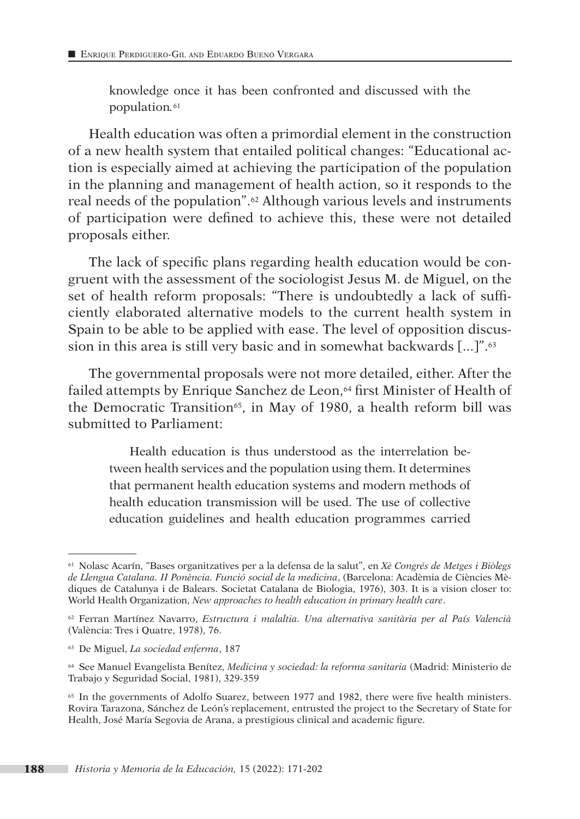knowledge once it has been confronted and discussed with the population*.*<sup>61</sup>

Health education was often a primordial element in the construction of a new health system that entailed political changes: "Educational action is especially aimed at achieving the participation of the population in the planning and management of health action, so it responds to the real needs of the population".62 Although various levels and instruments of participation were defined to achieve this, these were not detailed proposals either.

The lack of specific plans regarding health education would be congruent with the assessment of the sociologist Jesus M. de Miguel, on the set of health reform proposals: "There is undoubtedly a lack of sufficiently elaborated alternative models to the current health system in Spain to be able to be applied with ease. The level of opposition discussion in this area is still very basic and in somewhat backwards [...]".63

The governmental proposals were not more detailed, either. After the failed attempts by Enrique Sanchez de Leon,<sup>64</sup> first Minister of Health of the Democratic Transition<sup>65</sup>, in May of 1980, a health reform bill was submitted to Parliament:

Health education is thus understood as the interrelation between health services and the population using them. It determines that permanent health education systems and modern methods of health education transmission will be used. The use of collective education guidelines and health education programmes carried

<sup>61</sup> Nolasc Acarín, "Bases organitzatives per a la defensa de la salut", en *Xè Congrés de Metges i Biòlegs de Llengua Catalana. II Ponència. Funció social de la medicina*, (Barcelona: Acadèmia de Ciències Mèdiques de Catalunya i de Balears. Societat Catalana de Biologia, 1976), 303. It is a vision closer to: World Health Organization, *New approaches to health education in primary health care*.

<sup>62</sup> Ferran Martínez Navarro, *Estructura i malaltia. Una alternativa sanitària per al País Valencià* (València: Tres i Quatre, 1978), 76.

<sup>63</sup> De Miguel, *La sociedad enferma*, 187

<sup>64</sup> See Manuel Evangelista Benítez, *Medicina y sociedad: la reforma sanitaria* (Madrid: Ministerio de Trabajo y Seguridad Social, 1981), 329-359

<sup>65</sup> In the governments of Adolfo Suarez, between 1977 and 1982, there were five health ministers. Rovira Tarazona, Sánchez de León's replacement, entrusted the project to the Secretary of State for Health, José María Segovia de Arana, a prestigious clinical and academic figure.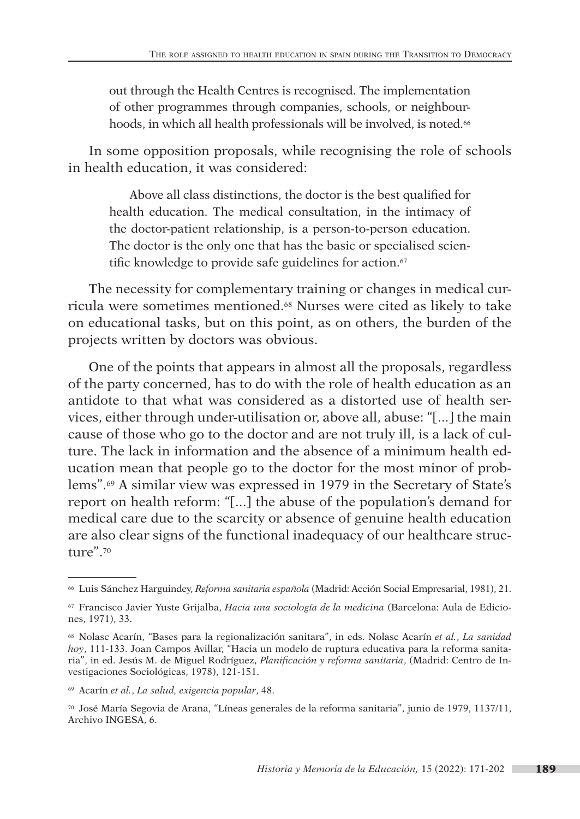out through the Health Centres is recognised. The implementation of other programmes through companies, schools, or neighbourhoods, in which all health professionals will be involved, is noted.<sup>66</sup>

In some opposition proposals, while recognising the role of schools in health education, it was considered:

Above all class distinctions, the doctor is the best qualified for health education. The medical consultation, in the intimacy of the doctor-patient relationship, is a person-to-person education. The doctor is the only one that has the basic or specialised scientific knowledge to provide safe guidelines for action.<sup>67</sup>

The necessity for complementary training or changes in medical curricula were sometimes mentioned.68 Nurses were cited as likely to take on educational tasks, but on this point, as on others, the burden of the projects written by doctors was obvious.

One of the points that appears in almost all the proposals, regardless of the party concerned, has to do with the role of health education as an antidote to that what was considered as a distorted use of health services, either through under-utilisation or, above all, abuse: "[...] the main cause of those who go to the doctor and are not truly ill, is a lack of culture. The lack in information and the absence of a minimum health education mean that people go to the doctor for the most minor of problems".69 A similar view was expressed in 1979 in the Secretary of State's report on health reform: "[...] the abuse of the population's demand for medical care due to the scarcity or absence of genuine health education are also clear signs of the functional inadequacy of our healthcare structure".70

<sup>66</sup> Luis Sánchez Harguindey, *Reforma sanitaria española* (Madrid: Acción Social Empresarial, 1981), 21.

<sup>67</sup> Francisco Javier Yuste Grijalba, *Hacia una sociología de la medicina* (Barcelona: Aula de Ediciones, 1971), 33.

<sup>68</sup> Nolasc Acarín, "Bases para la regionalización sanitara", in eds. Nolasc Acarín *et al.*, *La sanidad hoy*, 111-133. Joan Campos Avillar, "Hacia un modelo de ruptura educativa para la reforma sanitaria", in ed. Jesús M. de Miguel Rodríguez, *Planificación y reforma sanitaria*, (Madrid: Centro de Investigaciones Sociológicas, 1978), 121-151.

<sup>69</sup> Acarín *et al.*, *La salud, exigencia popular*, 48.

<sup>70</sup> José María Segovia de Arana, "Líneas generales de la reforma sanitaria", junio de 1979, 1137/11, Archivo INGESA, 6.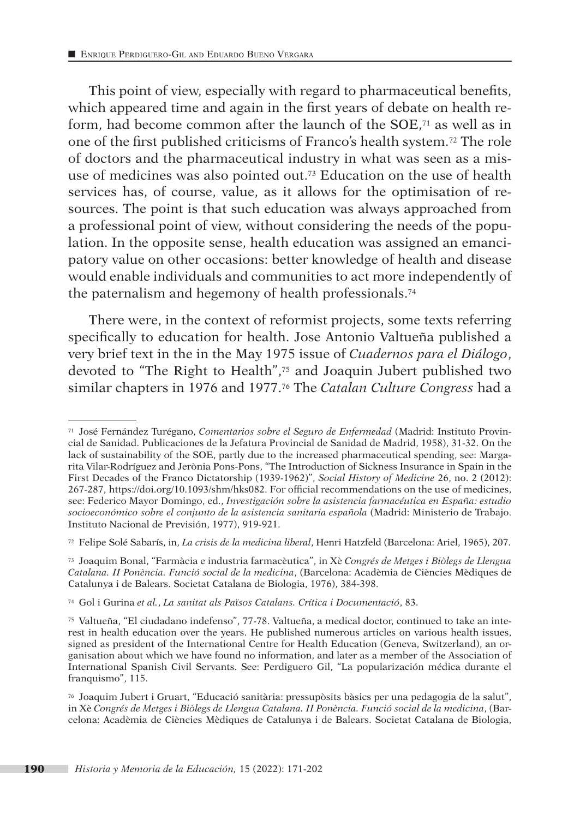This point of view, especially with regard to pharmaceutical benefits, which appeared time and again in the first years of debate on health reform, had become common after the launch of the SOE,<sup>71</sup> as well as in one of the first published criticisms of Franco's health system.72 The role of doctors and the pharmaceutical industry in what was seen as a misuse of medicines was also pointed out.73 Education on the use of health services has, of course, value, as it allows for the optimisation of resources. The point is that such education was always approached from a professional point of view, without considering the needs of the population. In the opposite sense, health education was assigned an emancipatory value on other occasions: better knowledge of health and disease would enable individuals and communities to act more independently of the paternalism and hegemony of health professionals.74

There were, in the context of reformist projects, some texts referring specifically to education for health. Jose Antonio Valtueña published a very brief text in the in the May 1975 issue of *Cuadernos para el Diálogo*, devoted to "The Right to Health",75 and Joaquin Jubert published two similar chapters in 1976 and 1977.76 The *Catalan Culture Congress* had a

<sup>71</sup> José Fernández Turégano, *Comentarios sobre el Seguro de Enfermedad* (Madrid: Instituto Provincial de Sanidad. Publicaciones de la Jefatura Provincial de Sanidad de Madrid, 1958), 31-32. On the lack of sustainability of the SOE, partly due to the increased pharmaceutical spending, see: Margarita Vilar-Rodríguez and Jerònia Pons-Pons, "The Introduction of Sickness Insurance in Spain in the First Decades of the Franco Dictatorship (1939-1962)", *Social History of Medicine* 26, no. 2 (2012): 267-287, https://doi.org/10.1093/shm/hks082. For official recommendations on the use of medicines, see: Federico Mayor Domingo, ed., *Investigación sobre la asistencia farmacéutica en España: estudio socioeconómico sobre el conjunto de la asistencia sanitaria española* (Madrid: Ministerio de Trabajo. Instituto Nacional de Previsión, 1977), 919-921.

<sup>72</sup> Felipe Solé Sabarís, in, *La crisis de la medicina liberal*, Henri Hatzfeld (Barcelona: Ariel, 1965), 207.

<sup>73</sup> Joaquim Bonal, "Farmàcia e industria farmacèutica", in Xè *Congrés de Metges i Biòlegs de Llengua Catalana. II Ponència. Funció social de la medicina*, (Barcelona: Acadèmia de Ciències Mèdiques de Catalunya i de Balears. Societat Catalana de Biologia, 1976), 384-398.

<sup>74</sup> Gol i Gurina *et al.*, *La sanitat als Països Catalans. Crítica i Documentació*, 83.

<sup>75</sup> Valtueña, "El ciudadano indefenso", 77-78. Valtueña, a medical doctor, continued to take an interest in health education over the years. He published numerous articles on various health issues, signed as president of the International Centre for Health Education (Geneva, Switzerland), an organisation about which we have found no information, and later as a member of the Association of International Spanish Civil Servants. See: Perdiguero Gil, "La popularización médica durante el franquismo", 115.

<sup>76</sup> Joaquim Jubert i Gruart, "Educació sanitària: pressupòsits bàsics per una pedagogia de la salut", in Xè *Congrés de Metges i Biòlegs de Llengua Catalana. II Ponència. Funció social de la medicina*, (Barcelona: Acadèmia de Ciències Mèdiques de Catalunya i de Balears. Societat Catalana de Biologia,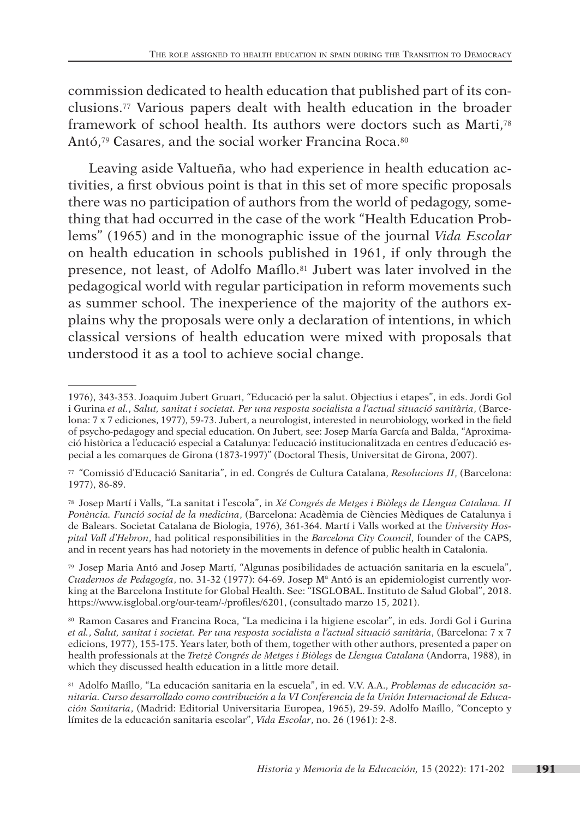commission dedicated to health education that published part of its conclusions.77 Various papers dealt with health education in the broader framework of school health. Its authors were doctors such as Marti,78 Antó,79 Casares, and the social worker Francina Roca.80

Leaving aside Valtueña, who had experience in health education activities, a first obvious point is that in this set of more specific proposals there was no participation of authors from the world of pedagogy, something that had occurred in the case of the work "Health Education Problems" (1965) and in the monographic issue of the journal *Vida Escolar* on health education in schools published in 1961, if only through the presence, not least, of Adolfo Maíllo.81 Jubert was later involved in the pedagogical world with regular participation in reform movements such as summer school. The inexperience of the majority of the authors explains why the proposals were only a declaration of intentions, in which classical versions of health education were mixed with proposals that understood it as a tool to achieve social change.

<sup>1976), 343-353.</sup> Joaquim Jubert Gruart, "Educació per la salut. Objectius i etapes", in eds. Jordi Gol i Gurina *et al.*, *Salut, sanitat i societat. Per una resposta socialista a l'actual situació sanitària*, (Barcelona: 7 x 7 ediciones, 1977), 59-73. Jubert, a neurologist, interested in neurobiology, worked in the field of psycho-pedagogy and special education. On Jubert, see: Josep María García and Balda, "Aproximació històrica a l'educació especial a Catalunya: l'educació institucionalitzada en centres d'educació especial a les comarques de Girona (1873-1997)" (Doctoral Thesis, Universitat de Girona, 2007).

<sup>77</sup> "Comissió d'Educació Sanitaria", in ed. Congrés de Cultura Catalana, *Resolucions II*, (Barcelona: 1977), 86-89.

<sup>78</sup> Josep Martí i Valls, "La sanitat i l'escola", in *Xé Congrés de Metges i Biòlegs de Llengua Catalana. II Ponència. Funció social de la medicina*, (Barcelona: Acadèmia de Ciències Mèdiques de Catalunya i de Balears. Societat Catalana de Biologia, 1976), 361-364. Martí i Valls worked at the *University Hospital Vall d'Hebron*, had political responsibilities in the *Barcelona City Council*, founder of the CAPS, and in recent years has had notoriety in the movements in defence of public health in Catalonia.

<sup>79</sup> Josep Maria Antó and Josep Martí, "Algunas posibilidades de actuación sanitaria en la escuela", *Cuadernos de Pedagogía*, no. 31-32 (1977): 64-69. Josep Mª Antó is an epidemiologist currently working at the Barcelona Institute for Global Health. See: "ISGLOBAL. Instituto de Salud Global", 2018. https://www.isglobal.org/our-team/-/profiles/6201, (consultado marzo 15, 2021).

<sup>80</sup> Ramon Casares and Francina Roca, "La medicina i la higiene escolar", in eds. Jordi Gol i Gurina *et al.*, *Salut, sanitat i societat. Per una resposta socialista a l'actual situació sanitària*, (Barcelona: 7 x 7 edicions, 1977), 155-175. Years later, both of them, together with other authors, presented a paper on health professionals at the *Tretzè Congrés de Metges i Biòlegs* de *Llengua Catalana* (Andorra, 1988), in which they discussed health education in a little more detail.

<sup>81</sup> Adolfo Maíllo, "La educación sanitaria en la escuela", in ed. V.V. A.A., *Problemas de educación sanitaria. Curso desarrollado como contribución a la VI Conferencia de la Unión Internacional de Educación Sanitaria*, (Madrid: Editorial Universitaria Europea, 1965), 29-59. Adolfo Maíllo, "Concepto y límites de la educación sanitaria escolar", *Vida Escolar*, no. 26 (1961): 2-8.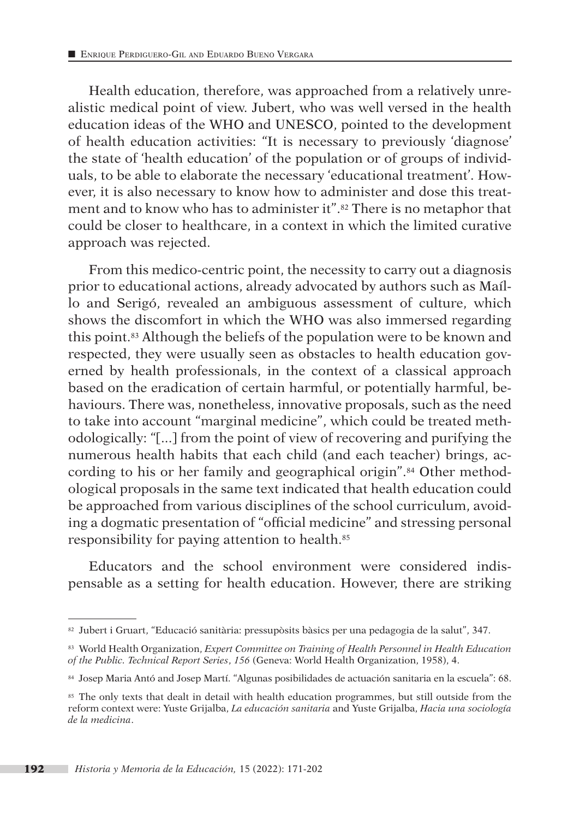Health education, therefore, was approached from a relatively unrealistic medical point of view. Jubert, who was well versed in the health education ideas of the WHO and UNESCO, pointed to the development of health education activities: "It is necessary to previously 'diagnose' the state of 'health education' of the population or of groups of individuals, to be able to elaborate the necessary 'educational treatment'. However, it is also necessary to know how to administer and dose this treatment and to know who has to administer it".82 There is no metaphor that could be closer to healthcare, in a context in which the limited curative approach was rejected.

From this medico-centric point, the necessity to carry out a diagnosis prior to educational actions, already advocated by authors such as Maíllo and Serigó, revealed an ambiguous assessment of culture, which shows the discomfort in which the WHO was also immersed regarding this point.83 Although the beliefs of the population were to be known and respected, they were usually seen as obstacles to health education governed by health professionals, in the context of a classical approach based on the eradication of certain harmful, or potentially harmful, behaviours. There was, nonetheless, innovative proposals, such as the need to take into account "marginal medicine", which could be treated methodologically: "[...] from the point of view of recovering and purifying the numerous health habits that each child (and each teacher) brings, according to his or her family and geographical origin".84 Other methodological proposals in the same text indicated that health education could be approached from various disciplines of the school curriculum, avoiding a dogmatic presentation of "official medicine" and stressing personal responsibility for paying attention to health.85

Educators and the school environment were considered indis pensable as a setting for health education. However, there are striking

<sup>82</sup> Jubert i Gruart, "Educació sanitària: pressupòsits bàsics per una pedagogia de la salut", 347.

<sup>83</sup> World Health Organization, *Expert Committee on Training of Health Personnel in Health Education of the Public. Technical Report Series*, *156* (Geneva: World Health Organization, 1958), 4.

<sup>84</sup> Josep Maria Antó and Josep Martí. "Algunas posibilidades de actuación sanitaria en la escuela": 68.

<sup>&</sup>lt;sup>85</sup> The only texts that dealt in detail with health education programmes, but still outside from the reform context were: Yuste Grijalba, *La educación sanitaria* and Yuste Grijalba, *Hacia una sociología de la medicina*.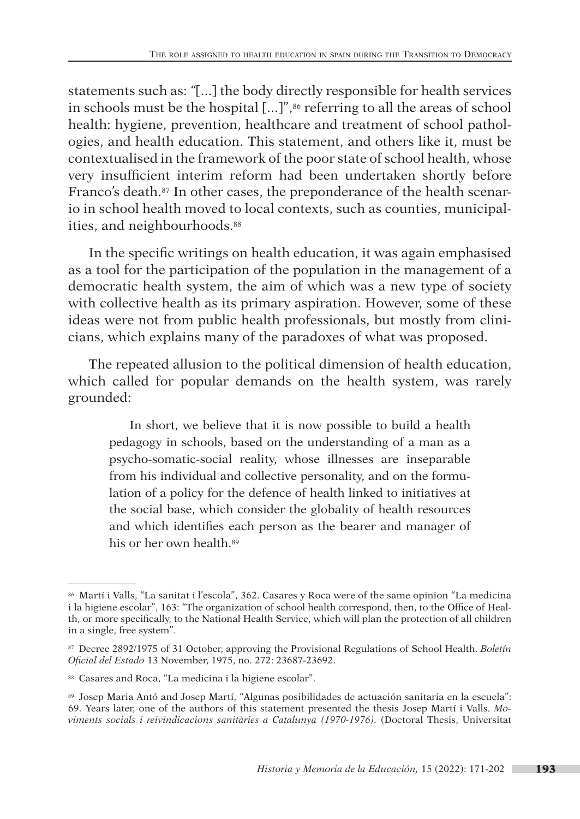statements such as: *"*[...] the body directly responsible for health services in schools must be the hospital  $[...]$ ",<sup>86</sup> referring to all the areas of school health: hygiene, prevention, healthcare and treatment of school pathologies, and health education. This statement, and others like it, must be contextualised in the framework of the poor state of school health, whose very insufficient interim reform had been undertaken shortly before Franco's death.<sup>87</sup> In other cases, the preponderance of the health scenario in school health moved to local contexts, such as counties, municipalities, and neighbourhoods.<sup>88</sup>

In the specific writings on health education, it was again emphasised as a tool for the participation of the population in the management of a democratic health system, the aim of which was a new type of society with collective health as its primary aspiration. However, some of these ideas were not from public health professionals, but mostly from clinicians, which explains many of the paradoxes of what was proposed.

The repeated allusion to the political dimension of health education, which called for popular demands on the health system, was rarely grounded:

In short, we believe that it is now possible to build a health pedagogy in schools, based on the understanding of a man as a psycho-somatic-social reality, whose illnesses are inseparable from his individual and collective personality, and on the formulation of a policy for the defence of health linked to initiatives at the social base, which consider the globality of health resources and which identifies each person as the bearer and manager of his or her own health.<sup>89</sup>

<sup>86</sup> Martí i Valls, "La sanitat i l'escola", 362. Casares y Roca were of the same opinion "La medicina i la higiene escolar", 163: "The organization of school health correspond, then, to the Office of Health, or more specifically, to the National Health Service, which will plan the protection of all children in a single, free system".

<sup>87</sup> Decree 2892/1975 of 31 October, approving the Provisional Regulations of School Health. *Boletín Oficial del Estado* 13 November, 1975, no. 272: 23687-23692.

<sup>88</sup> Casares and Roca, "La medicina i la higiene escolar".

<sup>89</sup> Josep Maria Antó and Josep Martí, "Algunas posibilidades de actuación sanitaria en la escuela": 69. Years later, one of the authors of this statement presented the thesis Josep Martí i Valls. *Mo viments socials i reivindicacions sanitàries a Catalunya (1970-1976).* (Doctoral Thesis, Universitat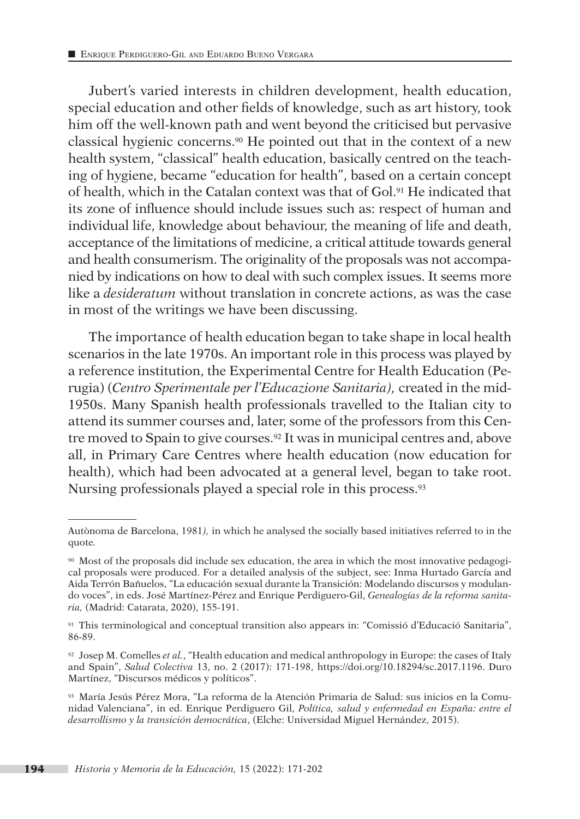Jubert's varied interests in children development, health education, special education and other fields of knowledge, such as art history, took him off the well-known path and went beyond the criticised but pervasive classical hygienic concerns.90 He pointed out that in the context of a new health system, "classical" health education, basically centred on the teaching of hygiene, became "education for health", based on a certain concept of health, which in the Catalan context was that of Gol.91 He indicated that its zone of influence should include issues such as: respect of human and individual life, knowledge about behaviour, the meaning of life and death, acceptance of the limitations of medicine, a critical attitude towards general and health consumerism. The originality of the proposals was not accompanied by indications on how to deal with such complex issues. It seems more like a *desideratum* without translation in concrete actions, as was the case in most of the writings we have been discussing.

The importance of health education began to take shape in local health scenarios in the late 1970s. An important role in this process was played by a reference institution, the Experimental Centre for Health Education (Perugia) (*Centro Sperimentale per l'Educazione Sanitaria),* created in the mid-1950s. Many Spanish health professionals travelled to the Italian city to attend its summer courses and, later, some of the professors from this Centre moved to Spain to give courses.<sup>92</sup> It was in municipal centres and, above all, in Primary Care Centres where health education (now education for health), which had been advocated at a general level, began to take root. Nursing professionals played a special role in this process.93

Autònoma de Barcelona, 1981*),* in which he analysed the socially based initiatives referred to in the quote*.*

<sup>90</sup> Most of the proposals did include sex education, the area in which the most innovative pedagogical proposals were produced. For a detailed analysis of the subject, see: Inma Hurtado García and Aida Terrón Bañuelos, "La educación sexual durante la Transición: Modelando discursos y modulando voces", in eds. José Martínez-Pérez and Enrique Perdiguero-Gil, *Genealogías de la reforma sanitaria,* (Madrid: Catarata, 2020), 155-191.

<sup>91</sup> This terminological and conceptual transition also appears in: "Comissió d'Educació Sanitaria", 86-89.

<sup>92</sup> Josep M. Comelles *et al.*, "Health education and medical anthropology in Europe: the cases of Italy and Spain", *Salud Colectiva* 13, no. 2 (2017): 171-198, https://doi.org/10.18294/sc.2017.1196. Duro Martínez, "Discursos médicos y políticos".

<sup>93</sup> María Jesús Pérez Mora, "La reforma de la Atención Primaria de Salud: sus inicios en la Comunidad Valenciana", in ed. Enrique Perdiguero Gil, *Política, salud y enfermedad en España: entre el desarrollismo y la transición democrática*, (Elche: Universidad Miguel Hernández, 2015).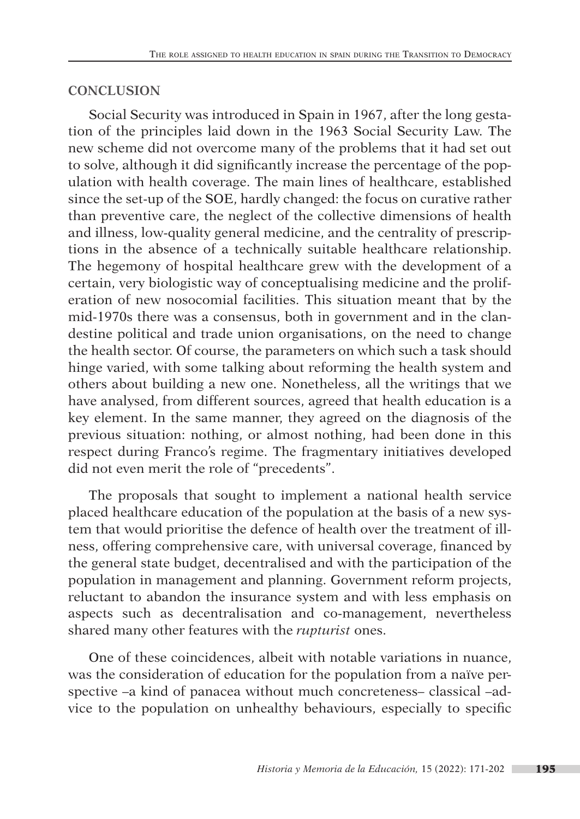# **CONCLUSION**

Social Security was introduced in Spain in 1967, after the long gestation of the principles laid down in the 1963 Social Security Law. The new scheme did not overcome many of the problems that it had set out to solve, although it did significantly increase the percentage of the population with health coverage. The main lines of healthcare, established since the set-up of the SOE, hardly changed: the focus on curative rather than preventive care, the neglect of the collective dimensions of health and illness, low-quality general medicine, and the centrality of prescriptions in the absence of a technically suitable healthcare relationship. The hegemony of hospital healthcare grew with the development of a certain, very biologistic way of conceptualising medicine and the proliferation of new nosocomial facilities. This situation meant that by the mid-1970s there was a consensus, both in government and in the clandestine political and trade union organisations, on the need to change the health sector. Of course, the parameters on which such a task should hinge varied, with some talking about reforming the health system and others about building a new one. Nonetheless, all the writings that we have analysed, from different sources, agreed that health education is a key element. In the same manner, they agreed on the diagnosis of the previous situation: nothing, or almost nothing, had been done in this respect during Franco's regime. The fragmentary initiatives developed did not even merit the role of "precedents".

The proposals that sought to implement a national health service placed healthcare education of the population at the basis of a new system that would prioritise the defence of health over the treatment of illness, offering comprehensive care, with universal coverage, financed by the general state budget, decentralised and with the participation of the population in management and planning. Government reform projects, reluctant to abandon the insurance system and with less emphasis on aspects such as decentralisation and co-management, nevertheless shared many other features with the *rupturist* ones.

One of these coincidences, albeit with notable variations in nuance, was the consideration of education for the population from a naïve perspective –a kind of panacea without much concreteness– classical –advice to the population on unhealthy behaviours, especially to specific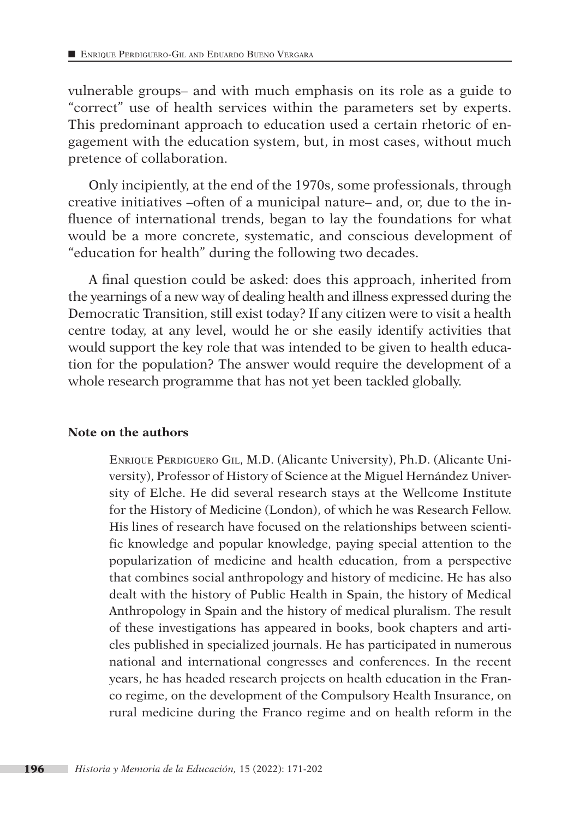vulnerable groups– and with much emphasis on its role as a guide to "correct" use of health services within the parameters set by experts. This predominant approach to education used a certain rhetoric of engagement with the education system, but, in most cases, without much pretence of collaboration.

Only incipiently, at the end of the 1970s, some professionals, through creative initiatives –often of a municipal nature– and, or, due to the influence of international trends, began to lay the foundations for what would be a more concrete, systematic, and conscious development of "education for health" during the following two decades.

A final question could be asked: does this approach, inherited from the yearnings of a new way of dealing health and illness expressed during the Democratic Transition, still exist today? If any citizen were to visit a health centre today, at any level, would he or she easily identify activities that would support the key role that was intended to be given to health education for the population? The answer would require the development of a whole research programme that has not yet been tackled globally.

#### **Note on the authors**

Enrique Perdiguero Gil, M.D. (Alicante University), Ph.D. (Alicante University), Professor of History of Science at the Miguel Hernández University of Elche. He did several research stays at the Wellcome Institute for the History of Medicine (London), of which he was Research Fellow. His lines of research have focused on the relationships between scientific knowledge and popular knowledge, paying special attention to the popularization of medicine and health education, from a perspective that combines social anthropology and history of medicine. He has also dealt with the history of Public Health in Spain, the history of Medical Anthropology in Spain and the history of medical pluralism. The result of these investigations has appeared in books, book chapters and articles published in specialized journals. He has participated in numerous national and international congresses and conferences. In the recent years, he has headed research projects on health education in the Franco regime, on the development of the Compulsory Health Insurance, on rural medicine during the Franco regime and on health reform in the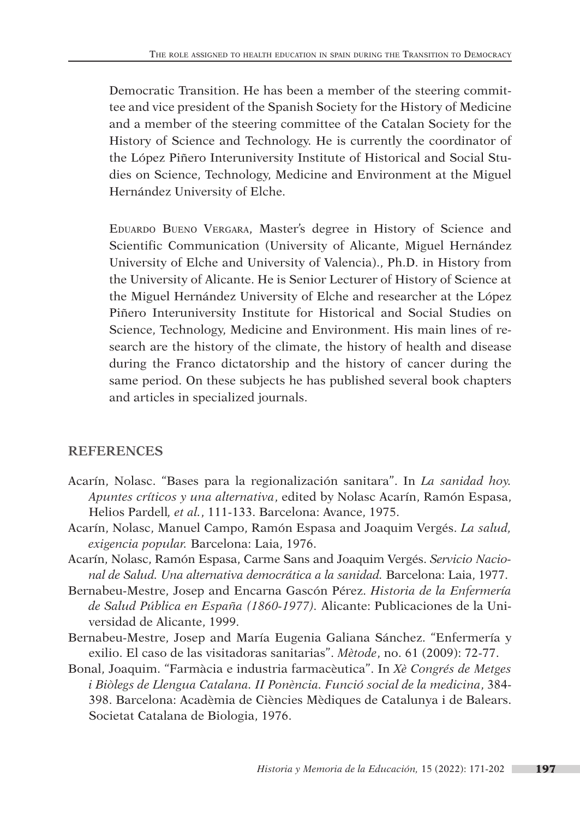Democratic Transition. He has been a member of the steering committee and vice president of the Spanish Society for the History of Medicine and a member of the steering committee of the Catalan Society for the History of Science and Technology. He is currently the coordinator of the López Piñero Interuniversity Institute of Historical and Social Studies on Science, Technology, Medicine and Environment at the Miguel Hernández University of Elche.

Eduardo Bueno Vergara, Master's degree in History of Science and Scientific Communication (University of Alicante, Miguel Hernández University of Elche and University of Valencia)., Ph.D. in History from the University of Alicante. He is Senior Lecturer of History of Science at the Miguel Hernández University of Elche and researcher at the López Piñero Interuniversity Institute for Historical and Social Studies on Science, Technology, Medicine and Environment. His main lines of research are the history of the climate, the history of health and disease during the Franco dictatorship and the history of cancer during the same period. On these subjects he has published several book chapters and articles in specialized journals.

#### **REFERENCES**

- Acarín, Nolasc. "Bases para la regionalización sanitara". In *La sanidad hoy. Apuntes críticos y una alternativa*, edited by Nolasc Acarín, Ramón Espasa, Helios Pardell*, et al.*, 111-133. Barcelona: Avance, 1975.
- Acarín, Nolasc, Manuel Campo, Ramón Espasa and Joaquim Vergés. *La salud, exigencia popular.* Barcelona: Laia, 1976.
- Acarín, Nolasc, Ramón Espasa, Carme Sans and Joaquim Vergés. *Servicio Nacional de Salud. Una alternativa democrática a la sanidad.* Barcelona: Laia, 1977.
- Bernabeu-Mestre, Josep and Encarna Gascón Pérez. *Historia de la Enfermería de Salud Pública en España (1860-1977).* Alicante: Publicaciones de la Universidad de Alicante, 1999.
- Bernabeu-Mestre, Josep and María Eugenia Galiana Sánchez. "Enfermería y exilio. El caso de las visitadoras sanitarias". *Mètode*, no. 61 (2009): 72-77.
- Bonal, Joaquim. "Farmàcia e industria farmacèutica". In *Xè Congrés de Metges i Biòlegs de Llengua Catalana. II Ponència. Funció social de la medicina*, 384- 398. Barcelona: Acadèmia de Ciències Mèdiques de Catalunya i de Balears. Societat Catalana de Biologia, 1976.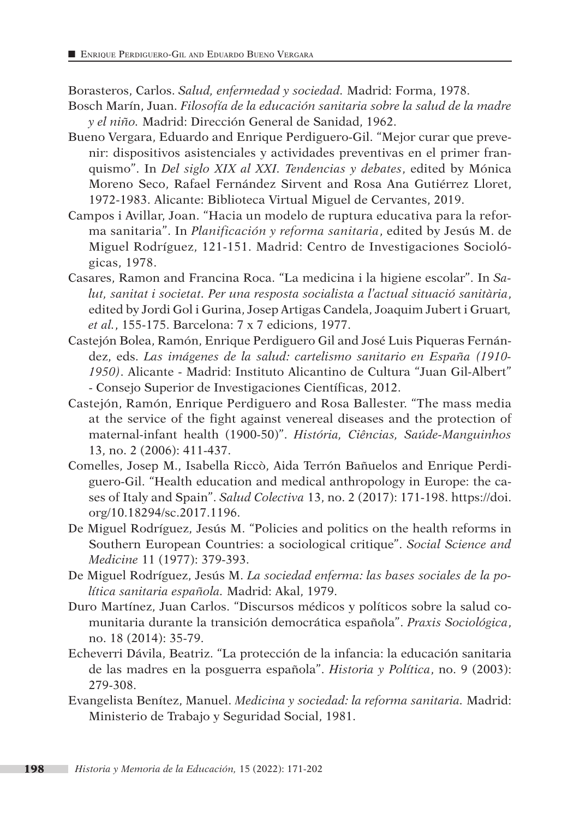Borasteros, Carlos. *Salud, enfermedad y sociedad.* Madrid: Forma, 1978.

- Bosch Marín, Juan. *Filosofía de la educación sanitaria sobre la salud de la madre y el niño.* Madrid: Dirección General de Sanidad, 1962.
- Bueno Vergara, Eduardo and Enrique Perdiguero-Gil. "Mejor curar que prevenir: dispositivos asistenciales y actividades preventivas en el primer franquismo". In *Del siglo XIX al XXI. Tendencias y debates*, edited by Mónica Moreno Seco, Rafael Fernández Sirvent and Rosa Ana Gutiérrez Lloret, 1972-1983. Alicante: Biblioteca Virtual Miguel de Cervantes, 2019.
- Campos i Avillar, Joan. "Hacia un modelo de ruptura educativa para la reforma sanitaria". In *Planificación y reforma sanitaria*, edited by Jesús M. de Miguel Rodríguez, 121-151. Madrid: Centro de Investigaciones Sociológicas, 1978.
- Casares, Ramon and Francina Roca. "La medicina i la higiene escolar". In *Salut, sanitat i societat. Per una resposta socialista a l'actual situació sanitària*, edited by Jordi Gol i Gurina, Josep Artigas Candela, Joaquim Jubert i Gruart*, et al.*, 155-175. Barcelona: 7 x 7 edicions, 1977.
- Castejón Bolea, Ramón, Enrique Perdiguero Gil and José Luis Piqueras Fernández, eds. *Las imágenes de la salud: cartelismo sanitario en España (1910- 1950)*. Alicante - Madrid: Instituto Alicantino de Cultura "Juan Gil-Albert" - Consejo Superior de Investigaciones Científicas, 2012.
- Castejón, Ramón, Enrique Perdiguero and Rosa Ballester. "The mass media at the service of the fight against venereal diseases and the protection of maternal-infant health (1900-50)". *História, Ciências, Saúde-Manguinhos*  13, no. 2 (2006): 411-437.
- Comelles, Josep M., Isabella Riccò, Aida Terrón Bañuelos and Enrique Perdiguero-Gil. "Health education and medical anthropology in Europe: the cases of Italy and Spain". *Salud Colectiva* 13, no. 2 (2017): 171-198. https://doi. org/10.18294/sc.2017.1196.
- De Miguel Rodríguez, Jesús M. "Policies and politics on the health reforms in Southern European Countries: a sociological critique". *Social Science and Medicine* 11 (1977): 379-393.
- De Miguel Rodríguez, Jesús M. *La sociedad enferma: las bases sociales de la política sanitaria española.* Madrid: Akal, 1979.
- Duro Martínez, Juan Carlos. "Discursos médicos y políticos sobre la salud comunitaria durante la transición democrática española". *Praxis Sociológica*, no. 18 (2014): 35-79.
- Echeverri Dávila, Beatriz. "La protección de la infancia: la educación sanitaria de las madres en la posguerra española". *Historia y Política*, no. 9 (2003): 279-308.
- Evangelista Benítez, Manuel. *Medicina y sociedad: la reforma sanitaria.* Madrid: Ministerio de Trabajo y Seguridad Social, 1981.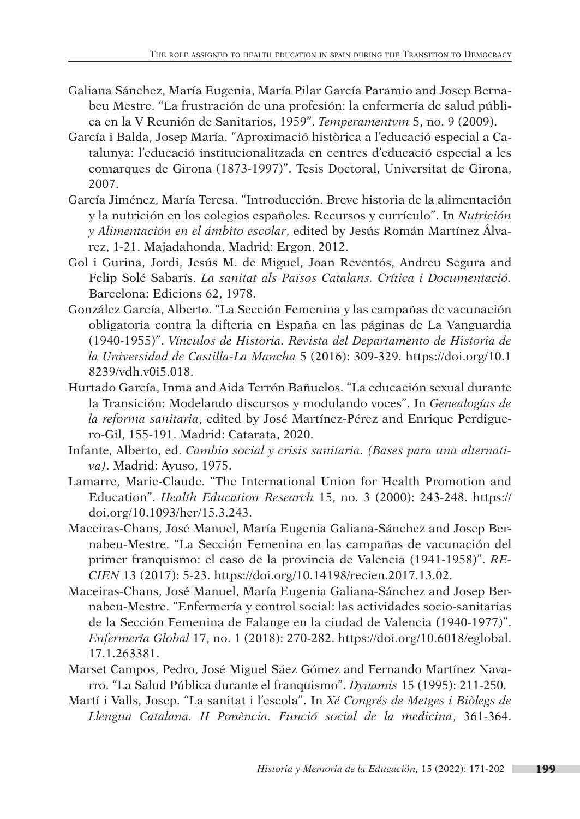- Galiana Sánchez, María Eugenia, María Pilar García Paramio and Josep Bernabeu Mestre. "La frustración de una profesión: la enfermería de salud pública en la V Reunión de Sanitarios, 1959". *Temperamentvm* 5, no. 9 (2009).
- García i Balda, Josep María. "Aproximació històrica a l'educació especial a Catalunya: l'educació institucionalitzada en centres d'educació especial a les comarques de Girona (1873-1997)". Tesis Doctoral, Universitat de Girona, 2007.
- García Jiménez, María Teresa. "Introducción. Breve historia de la alimentación y la nutrición en los colegios españoles. Recursos y currículo". In *Nutrición y Alimentación en el ámbito escolar*, edited by Jesús Román Martínez Álvarez, 1-21. Majadahonda, Madrid: Ergon, 2012.
- Gol i Gurina, Jordi, Jesús M. de Miguel, Joan Reventós, Andreu Segura and Felip Solé Sabarís. *La sanitat als Països Catalans. Crítica i Documentació.* Barcelona: Edicions 62, 1978.
- González García, Alberto. "La Sección Femenina y las campañas de vacunación obligatoria contra la difteria en España en las páginas de La Vanguardia (1940-1955)". *Vínculos de Historia. Revista del Departamento de Historia de la Universidad de Castilla-La Mancha* 5 (2016): 309-329. https://doi.org/10.1 8239/vdh.v0i5.018.
- Hurtado García, Inma and Aida Terrón Bañuelos. "La educación sexual durante la Transición: Modelando discursos y modulando voces". In *Genealogías de la reforma sanitaria*, edited by José Martínez-Pérez and Enrique Perdiguero-Gil, 155-191. Madrid: Catarata, 2020.
- Infante, Alberto, ed. *Cambio social y crisis sanitaria. (Bases para una alternativa)*. Madrid: Ayuso, 1975.
- Lamarre, Marie-Claude. "The International Union for Health Promotion and Education". *Health Education Research* 15, no. 3 (2000): 243-248. https:// doi.org/10.1093/her/15.3.243.
- Maceiras-Chans, José Manuel, María Eugenia Galiana-Sánchez and Josep Bernabeu-Mestre. "La Sección Femenina en las campañas de vacunación del primer franquismo: el caso de la provincia de Valencia (1941-1958)". *RE-CIEN* 13 (2017): 5-23. https://doi.org/10.14198/recien.2017.13.02.
- Maceiras-Chans, José Manuel, María Eugenia Galiana-Sánchez and Josep Bernabeu-Mestre. "Enfermería y control social: las actividades socio-sanitarias de la Sección Femenina de Falange en la ciudad de Valencia (1940-1977)". *Enfermería Global* 17, no. 1 (2018): 270-282. https://doi.org/10.6018/eglobal. 17.1.263381.
- Marset Campos, Pedro, José Miguel Sáez Gómez and Fernando Martínez Navarro. "La Salud Pública durante el franquismo". *Dynamis* 15 (1995): 211-250.
- Martí i Valls, Josep. "La sanitat i l'escola". In *Xé Congrés de Metges i Biòlegs de Llengua Catalana. II Ponència. Funció social de la medicina*, 361-364.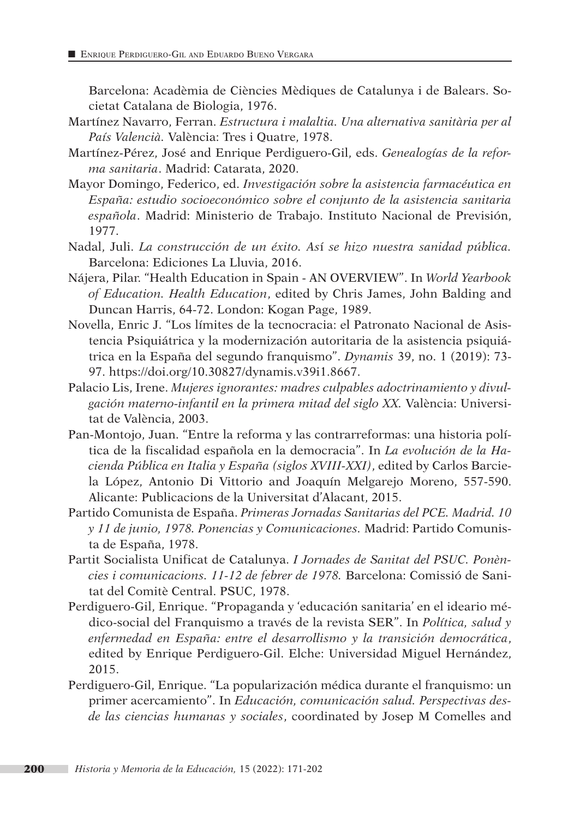Barcelona: Acadèmia de Ciències Mèdiques de Catalunya i de Balears. Societat Catalana de Biologia, 1976.

- Martínez Navarro, Ferran. *Estructura i malaltia. Una alternativa sanitària per al País Valencià.* València: Tres i Quatre, 1978.
- Martínez-Pérez, José and Enrique Perdiguero-Gil, eds. *Genealogías de la reforma sanitaria*. Madrid: Catarata, 2020.
- Mayor Domingo, Federico, ed. *Investigación sobre la asistencia farmacéutica en España: estudio socioeconómico sobre el conjunto de la asistencia sanitaria española*. Madrid: Ministerio de Trabajo. Instituto Nacional de Previsión, 1977.
- Nadal, Juli. *La construcción de un éxito. As*í *se hizo nuestra sanidad pública.* Barcelona: Ediciones La Lluvia, 2016.
- Nájera, Pilar. "Health Education in Spain AN OVERVIEW". In *World Yearbook of Education. Health Education*, edited by Chris James, John Balding and Duncan Harris, 64-72. London: Kogan Page, 1989.
- Novella, Enric J. "Los límites de la tecnocracia: el Patronato Nacional de Asistencia Psiquiátrica y la modernización autoritaria de la asistencia psiquiátrica en la España del segundo franquismo". *Dynamis* 39, no. 1 (2019): 73- 97. https://doi.org/10.30827/dynamis.v39i1.8667.
- Palacio Lis, Irene. *Mujeres ignorantes: madres culpables adoctrinamiento y divulgación materno-infantil en la primera mitad del siglo XX.* València: Universitat de València, 2003.
- Pan-Montojo, Juan. "Entre la reforma y las contrarreformas: una historia política de la fiscalidad española en la democracia". In *La evolución de la Hacienda Pública en Italia y España (siglos XVIII-XXI)*, edited by Carlos Barciela López, Antonio Di Vittorio and Joaquín Melgarejo Moreno, 557-590. Alicante: Publicacions de la Universitat d'Alacant, 2015.
- Partido Comunista de España. *Primeras Jornadas Sanitarias del PCE. Madrid. 10 y 11 de junio, 1978. Ponencias y Comunicaciones.* Madrid: Partido Comunista de España, 1978.
- Partit Socialista Unificat de Catalunya. *I Jornades de Sanitat del PSUC. Ponències i comunicacions. 11-12 de febrer de 1978.* Barcelona: Comissió de Sanitat del Comitè Central. PSUC, 1978.
- Perdiguero-Gil, Enrique. "Propaganda y 'educación sanitaria' en el ideario médico-social del Franquismo a través de la revista SER". In *Política, salud y enfermedad en España: entre el desarrollismo y la transición democrática*, edited by Enrique Perdiguero-Gil. Elche: Universidad Miguel Hernández, 2015.
- Perdiguero-Gil, Enrique. "La popularización médica durante el franquismo: un primer acercamiento". In *Educación, comunicación salud. Perspectivas desde las ciencias humanas y sociales*, coordinated by Josep M Comelles and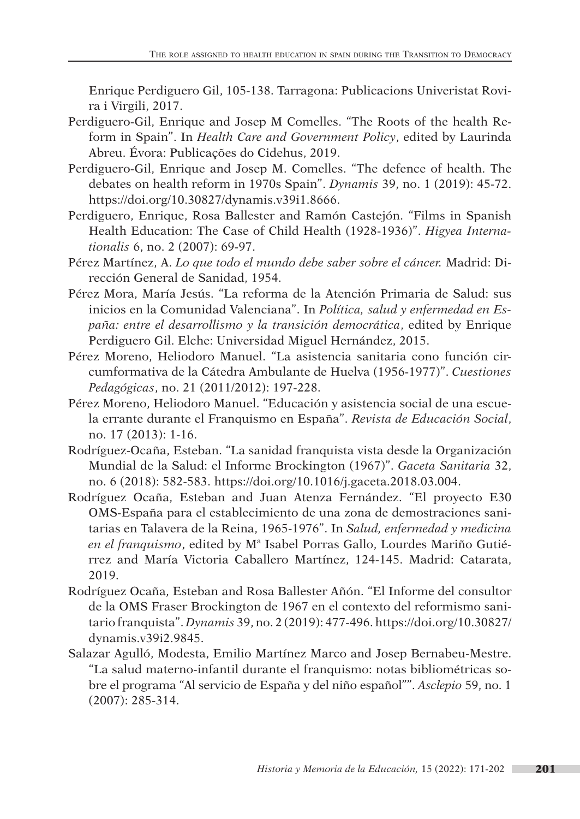Enrique Perdiguero Gil, 105-138. Tarragona: Publicacions Univeristat Rovira i Virgili, 2017.

- Perdiguero-Gil, Enrique and Josep M Comelles. "The Roots of the health Reform in Spain". In *Health Care and Government Policy*, edited by Laurinda Abreu. Évora: Publicações do Cidehus, 2019.
- Perdiguero-Gil, Enrique and Josep M. Comelles. "The defence of health. The debates on health reform in 1970s Spain". *Dynamis* 39, no. 1 (2019): 45-72. https://doi.org/10.30827/dynamis.v39i1.8666.
- Perdiguero, Enrique, Rosa Ballester and Ramón Castejón. "Films in Spanish Health Education: The Case of Child Health (1928-1936)". *Higyea Internationalis* 6, no. 2 (2007): 69-97.
- Pérez Martínez, A. *Lo que todo el mundo debe saber sobre el cáncer.* Madrid: Dirección General de Sanidad, 1954.
- Pérez Mora, María Jesús. "La reforma de la Atención Primaria de Salud: sus inicios en la Comunidad Valenciana". In *Política, salud y enfermedad en España: entre el desarrollismo y la transición democrática*, edited by Enrique Perdiguero Gil. Elche: Universidad Miguel Hernández, 2015.
- Pérez Moreno, Heliodoro Manuel. "La asistencia sanitaria cono función circumformativa de la Cátedra Ambulante de Huelva (1956-1977)". *Cuestiones Pedagógicas*, no. 21 (2011/2012): 197-228.
- Pérez Moreno, Heliodoro Manuel. "Educación y asistencia social de una escuela errante durante el Franquismo en España". *Revista de Educación Social*, no. 17 (2013): 1-16.
- Rodríguez-Ocaña, Esteban. "La sanidad franquista vista desde la Organización Mundial de la Salud: el Informe Brockington (1967)". *Gaceta Sanitaria* 32, no. 6 (2018): 582-583. https://doi.org/10.1016/j.gaceta.2018.03.004.
- Rodríguez Ocaña, Esteban and Juan Atenza Fernández. "El proyecto E30 OMS-España para el establecimiento de una zona de demostraciones sanitarias en Talavera de la Reina, 1965-1976". In *Salud, enfermedad y medicina en el franquismo*, edited by Mª Isabel Porras Gallo, Lourdes Mariño Gutiérrez and María Victoria Caballero Martínez, 124-145. Madrid: Catarata, 2019.
- Rodríguez Ocaña, Esteban and Rosa Ballester Añón. "El Informe del consultor de la OMS Fraser Brockington de 1967 en el contexto del reformismo sanitario franquista". *Dynamis* 39, no. 2 (2019): 477-496. https://doi.org/10.30827/ dynamis.v39i2.9845.
- Salazar Agulló, Modesta, Emilio Martínez Marco and Josep Bernabeu-Mestre. "La salud materno-infantil durante el franquismo: notas bibliométricas sobre el programa "Al servicio de España y del niño español"". *Asclepio* 59, no. 1 (2007): 285-314.